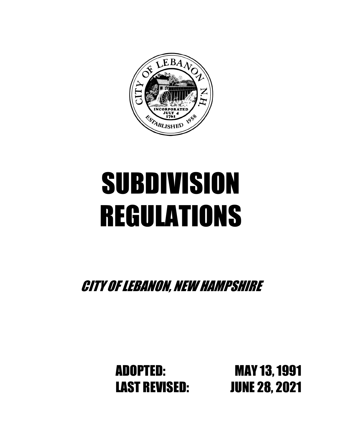

# SUBDIVISION REGULATIONS

CITY OF LEBANON, NEW HAMPSHIRE

LAST REVISED: JUNE 28, 2021

ADOPTED: MAY 13, 1991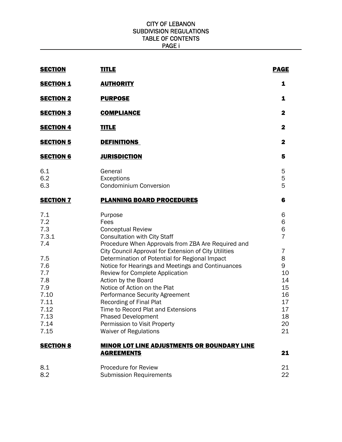#### CITY OF LEBANON SUBDIVISION REGULATIONS TABLE OF CONTENTS PAGE i

| <b>SECTION</b>                                                                                                       | <b>TITLE</b>                                                                                                                                                                                                                                                                                                                                                                                                                                                                                                                                                                                                     | <b>PAGE</b>                                                                                        |
|----------------------------------------------------------------------------------------------------------------------|------------------------------------------------------------------------------------------------------------------------------------------------------------------------------------------------------------------------------------------------------------------------------------------------------------------------------------------------------------------------------------------------------------------------------------------------------------------------------------------------------------------------------------------------------------------------------------------------------------------|----------------------------------------------------------------------------------------------------|
| <b>SECTION 1</b>                                                                                                     | <b>AUTHORITY</b>                                                                                                                                                                                                                                                                                                                                                                                                                                                                                                                                                                                                 | 1                                                                                                  |
| <b>SECTION 2</b>                                                                                                     | <b>PURPOSE</b>                                                                                                                                                                                                                                                                                                                                                                                                                                                                                                                                                                                                   | 1                                                                                                  |
| <b>SECTION 3</b>                                                                                                     | <b>COMPLIANCE</b>                                                                                                                                                                                                                                                                                                                                                                                                                                                                                                                                                                                                | $\mathbf{2}$                                                                                       |
| <b>SECTION 4</b>                                                                                                     | <b>TITLE</b>                                                                                                                                                                                                                                                                                                                                                                                                                                                                                                                                                                                                     | $\mathbf{2}$                                                                                       |
| <b>SECTION 5</b>                                                                                                     | <b>DEFINITIONS</b>                                                                                                                                                                                                                                                                                                                                                                                                                                                                                                                                                                                               | $\mathbf{2}$                                                                                       |
| <b>SECTION 6</b>                                                                                                     | <b>JURISDICTION</b>                                                                                                                                                                                                                                                                                                                                                                                                                                                                                                                                                                                              | 5                                                                                                  |
| 6.1<br>6.2<br>6.3                                                                                                    | General<br>Exceptions<br><b>Condominium Conversion</b>                                                                                                                                                                                                                                                                                                                                                                                                                                                                                                                                                           | 5<br>5<br>5                                                                                        |
| <b>SECTION 7</b>                                                                                                     | <b>PLANNING BOARD PROCEDURES</b>                                                                                                                                                                                                                                                                                                                                                                                                                                                                                                                                                                                 | 6                                                                                                  |
| 7.1<br>7.2<br>7.3<br>7.3.1<br>7.4<br>7.5<br>7.6<br>7.7<br>7.8<br>7.9<br>7.10<br>7.11<br>7.12<br>7.13<br>7.14<br>7.15 | Purpose<br>Fees<br><b>Conceptual Review</b><br><b>Consultation with City Staff</b><br>Procedure When Approvals from ZBA Are Required and<br>City Council Approval for Extension of City Utilities<br>Determination of Potential for Regional Impact<br>Notice for Hearings and Meetings and Continuances<br>Review for Complete Application<br>Action by the Board<br>Notice of Action on the Plat<br><b>Performance Security Agreement</b><br><b>Recording of Final Plat</b><br>Time to Record Plat and Extensions<br><b>Phased Development</b><br>Permission to Visit Property<br><b>Waiver of Regulations</b> | 6<br>6<br>6<br>$\overline{7}$<br>7<br>8<br>9<br>10<br>14<br>15<br>16<br>17<br>17<br>18<br>20<br>21 |
| <b>SECTION 8</b>                                                                                                     | <b>MINOR LOT LINE ADJUSTMENTS OR BOUNDARY LINE</b><br><b>AGREEMENTS</b>                                                                                                                                                                                                                                                                                                                                                                                                                                                                                                                                          | 21                                                                                                 |
| 8.1<br>8.2                                                                                                           | <b>Procedure for Review</b><br><b>Submission Requirements</b>                                                                                                                                                                                                                                                                                                                                                                                                                                                                                                                                                    | 21<br>22                                                                                           |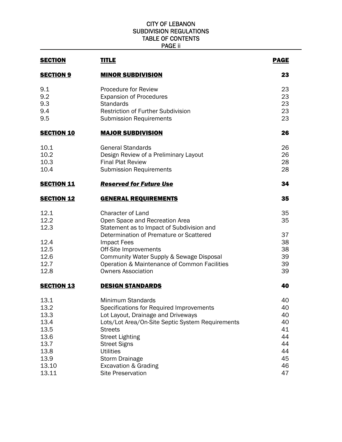#### CITY OF LEBANON SUBDIVISION REGULATIONS TABLE OF CONTENTS PAGE ii

| <u>TITLE</u>                                                                                                                                                                                                                                                                                               | <b>PAGE</b>                                                                                      |
|------------------------------------------------------------------------------------------------------------------------------------------------------------------------------------------------------------------------------------------------------------------------------------------------------------|--------------------------------------------------------------------------------------------------|
| <b>MINOR SUBDIVISION</b>                                                                                                                                                                                                                                                                                   | 23                                                                                               |
| <b>Procedure for Review</b><br><b>Expansion of Procedures</b><br><b>Standards</b><br>Restriction of Further Subdivision<br><b>Submission Requirements</b>                                                                                                                                                  | 23<br>23<br>23<br>23<br>23                                                                       |
| <b>MAJOR SUBDIVISION</b>                                                                                                                                                                                                                                                                                   | 26                                                                                               |
| <b>General Standards</b><br>Design Review of a Preliminary Layout<br><b>Final Plat Review</b><br><b>Submission Requirements</b>                                                                                                                                                                            | 26<br>26<br>28<br>28                                                                             |
| <b>Reserved for Future Use</b>                                                                                                                                                                                                                                                                             | 34                                                                                               |
| <b>GENERAL REQUIREMENTS</b>                                                                                                                                                                                                                                                                                | 35                                                                                               |
| <b>Character of Land</b><br>Open Space and Recreation Area<br>Statement as to Impact of Subdivision and                                                                                                                                                                                                    | 35<br>35<br>37                                                                                   |
| <b>Impact Fees</b><br>Off-Site Improvements<br>Community Water Supply & Sewage Disposal<br>Operation & Maintenance of Common Facilities                                                                                                                                                                    | 38<br>38<br>39<br>39<br>39                                                                       |
| <b>DESIGN STANDARDS</b>                                                                                                                                                                                                                                                                                    | 40                                                                                               |
| Minimum Standards<br>Specifications for Required Improvements<br>Lot Layout, Drainage and Driveways<br>Lots/Lot Area/On-Site Septic System Requirements<br><b>Streets</b><br><b>Street Lighting</b><br><b>Street Signs</b><br><b>Utilities</b><br><b>Storm Drainage</b><br><b>Excavation &amp; Grading</b> | 40<br>40<br>40<br>40<br>41<br>44<br>44<br>44<br>45<br>46<br>47                                   |
|                                                                                                                                                                                                                                                                                                            | Determination of Premature or Scattered<br><b>Owners Association</b><br><b>Site Preservation</b> |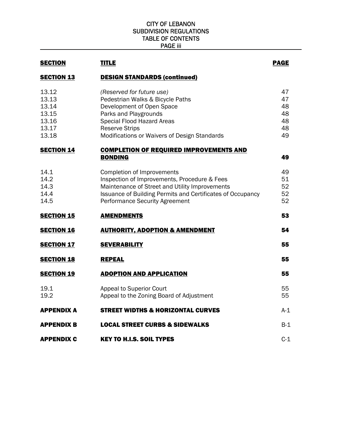#### CITY OF LEBANON SUBDIVISION REGULATIONS TABLE OF CONTENTS PAGE iii

| <b>SECTION</b>                                              | <b>TITLE</b>                                                                                                                                                                                                                        | <b>PAGE</b>                            |
|-------------------------------------------------------------|-------------------------------------------------------------------------------------------------------------------------------------------------------------------------------------------------------------------------------------|----------------------------------------|
| <b>SECTION 13</b>                                           | <b>DESIGN STANDARDS (continued)</b>                                                                                                                                                                                                 |                                        |
| 13.12<br>13.13<br>13.14<br>13.15<br>13.16<br>13.17<br>13.18 | (Reserved for future use)<br>Pedestrian Walks & Bicycle Paths<br>Development of Open Space<br>Parks and Playgrounds<br>Special Flood Hazard Areas<br><b>Reserve Strips</b><br>Modifications or Waivers of Design Standards          | 47<br>47<br>48<br>48<br>48<br>48<br>49 |
| <b>SECTION 14</b>                                           | <b>COMPLETION OF REQUIRED IMPROVEMENTS AND</b><br><b>BONDING</b>                                                                                                                                                                    | 49                                     |
| 14.1<br>14.2<br>14.3<br>14.4<br>14.5                        | Completion of Improvements<br>Inspection of Improvements, Procedure & Fees<br>Maintenance of Street and Utility Improvements<br>Issuance of Building Permits and Certificates of Occupancy<br><b>Performance Security Agreement</b> | 49<br>51<br>52<br>52<br>52             |
| <b>SECTION 15</b>                                           | <b>AMENDMENTS</b>                                                                                                                                                                                                                   | 53                                     |
| <b>SECTION 16</b>                                           | <b>AUTHORITY, ADOPTION &amp; AMENDMENT</b>                                                                                                                                                                                          | 54                                     |
| <b>SECTION 17</b>                                           | <b>SEVERABILITY</b>                                                                                                                                                                                                                 | 55                                     |
| <b>SECTION 18</b>                                           | <b>REPEAL</b>                                                                                                                                                                                                                       | 55                                     |
| <b>SECTION 19</b>                                           | <b>ADOPTION AND APPLICATION</b>                                                                                                                                                                                                     | 55                                     |
| 19.1<br>19.2                                                | Appeal to Superior Court<br>Appeal to the Zoning Board of Adjustment                                                                                                                                                                | 55<br>55                               |
| APPENDIX A                                                  | <b>STREET WIDTHS &amp; HORIZONTAL CURVES</b>                                                                                                                                                                                        | $A-1$                                  |
| <b>APPENDIX B</b>                                           | <b>LOCAL STREET CURBS &amp; SIDEWALKS</b>                                                                                                                                                                                           | $B-1$                                  |
| <b>APPENDIX C</b>                                           | <b>KEY TO H.I.S. SOIL TYPES</b>                                                                                                                                                                                                     | $C-1$                                  |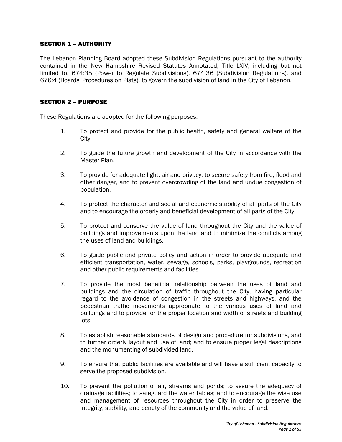## SECTION 1 – AUTHORITY

The Lebanon Planning Board adopted these Subdivision Regulations pursuant to the authority contained in the New Hampshire Revised Statutes Annotated, Title LXIV, including but not limited to, 674:35 (Power to Regulate Subdivisions), 674:36 (Subdivision Regulations), and 676:4 (Boards' Procedures on Plats), to govern the subdivision of land in the City of Lebanon.

#### SECTION 2 – PURPOSE

These Regulations are adopted for the following purposes:

- 1. To protect and provide for the public health, safety and general welfare of the City.
- 2. To guide the future growth and development of the City in accordance with the Master Plan.
- 3. To provide for adequate light, air and privacy, to secure safety from fire, flood and other danger, and to prevent overcrowding of the land and undue congestion of population.
- 4. To protect the character and social and economic stability of all parts of the City and to encourage the orderly and beneficial development of all parts of the City.
- 5. To protect and conserve the value of land throughout the City and the value of buildings and improvements upon the land and to minimize the conflicts among the uses of land and buildings.
- 6. To guide public and private policy and action in order to provide adequate and efficient transportation, water, sewage, schools, parks, playgrounds, recreation and other public requirements and facilities.
- 7. To provide the most beneficial relationship between the uses of land and buildings and the circulation of traffic throughout the City, having particular regard to the avoidance of congestion in the streets and highways, and the pedestrian traffic movements appropriate to the various uses of land and buildings and to provide for the proper location and width of streets and building lots.
- 8. To establish reasonable standards of design and procedure for subdivisions, and to further orderly layout and use of land; and to ensure proper legal descriptions and the monumenting of subdivided land.
- 9. To ensure that public facilities are available and will have a sufficient capacity to serve the proposed subdivision.
- 10. To prevent the pollution of air, streams and ponds; to assure the adequacy of drainage facilities; to safeguard the water tables; and to encourage the wise use and management of resources throughout the City in order to preserve the integrity, stability, and beauty of the community and the value of land.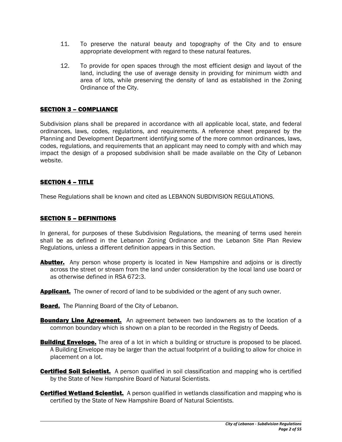- 11. To preserve the natural beauty and topography of the City and to ensure appropriate development with regard to these natural features.
- 12. To provide for open spaces through the most efficient design and layout of the land, including the use of average density in providing for minimum width and area of lots, while preserving the density of land as established in the Zoning Ordinance of the City.

#### SECTION 3 – COMPLIANCE

Subdivision plans shall be prepared in accordance with all applicable local, state, and federal ordinances, laws, codes, regulations, and requirements. A reference sheet prepared by the Planning and Development Department identifying some of the more common ordinances, laws, codes, regulations, and requirements that an applicant may need to comply with and which may impact the design of a proposed subdivision shall be made available on the City of Lebanon website.

#### SECTION 4 – TITLE

These Regulations shall be known and cited as LEBANON SUBDIVISION REGULATIONS.

#### SECTION 5 – DEFINITIONS

In general, for purposes of these Subdivision Regulations, the meaning of terms used herein shall be as defined in the Lebanon Zoning Ordinance and the Lebanon Site Plan Review Regulations, unless a different definition appears in this Section.

- **Abutter.** Any person whose property is located in New Hampshire and adjoins or is directly across the street or stream from the land under consideration by the local land use board or as otherwise defined in RSA 672:3.
- **Applicant.** The owner of record of land to be subdivided or the agent of any such owner.
- **Board.** The Planning Board of the City of Lebanon.
- **Boundary Line Agreement.** An agreement between two landowners as to the location of a common boundary which is shown on a plan to be recorded in the Registry of Deeds.
- **Building Envelope.** The area of a lot in which a building or structure is proposed to be placed. A Building Envelope may be larger than the actual footprint of a building to allow for choice in placement on a lot.
- **Certified Soil Scientist.** A person qualified in soil classification and mapping who is certified by the State of New Hampshire Board of Natural Scientists.
- **Certified Wetland Scientist.** A person qualified in wetlands classification and mapping who is certified by the State of New Hampshire Board of Natural Scientists.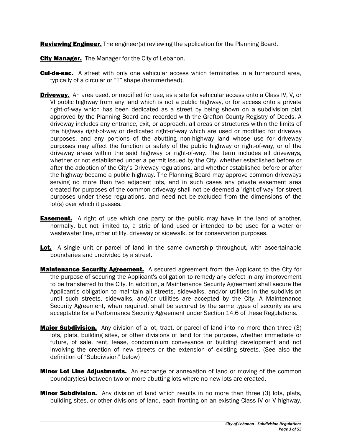**Reviewing Engineer.** The engineer(s) reviewing the application for the Planning Board.

**City Manager.** The Manager for the City of Lebanon.

- **Cul-de-sac.** A street with only one vehicular access which terminates in a turnaround area, typically of a circular or "T" shape (hammerhead).
- **Driveway.** An area used, or modified for use, as a site for vehicular access onto a Class IV, V, or VI public highway from any land which is not a public highway, or for access onto a private right-of-way which has been dedicated as a street by being shown on a subdivision plat approved by the Planning Board and recorded with the Grafton County Registry of Deeds. A driveway includes any entrance, exit, or approach, all areas or structures within the limits of the highway right-of-way or dedicated right-of-way which are used or modified for driveway purposes, and any portions of the abutting non-highway land whose use for driveway purposes may affect the function or safety of the public highway or right-of-way, or of the driveway areas within the said highway or right-of-way. The term includes all driveways, whether or not established under a permit issued by the City, whether established before or after the adoption of the City's Driveway regulations, and whether established before or after the highway became a public highway. The Planning Board may approve common driveways serving no more than two adjacent lots, and in such cases any private easement area created for purposes of the common driveway shall not be deemed a 'right-of-way' for street purposes under these regulations, and need not be excluded from the dimensions of the lot(s) over which it passes.
- **Easement.** A right of use which one party or the public may have in the land of another, normally, but not limited to, a strip of land used or intended to be used for a water or wastewater line, other utility, driveway or sidewalk, or for conservation purposes.
- Lot. A single unit or parcel of land in the same ownership throughout, with ascertainable boundaries and undivided by a street.
- **Maintenance Security Agreement.** A secured agreement from the Applicant to the City for the purpose of securing the Applicant's obligation to remedy any defect in any improvement to be transferred to the City. In addition, a Maintenance Security Agreement shall secure the Applicant's obligation to maintain all streets, sidewalks, and/or utilities in the subdivision until such streets, sidewalks, and/or utilities are accepted by the City. A Maintenance Security Agreement, when required, shall be secured by the same types of security as are acceptable for a Performance Security Agreement under Section 14.6 of these Regulations.
- **Major Subdivision.** Any division of a lot, tract, or parcel of land into no more than three (3) lots, plats, building sites, or other divisions of land for the purpose, whether immediate or future, of sale, rent, lease, condominium conveyance or building development and not involving the creation of new streets or the extension of existing streets. (See also the definition of "Subdivision" below)
- **Minor Lot Line Adjustments.** An exchange or annexation of land or moving of the common boundary(ies) between two or more abutting lots where no new lots are created.
- **Minor Subdivision.** Any division of land which results in no more than three (3) lots, plats, building sites, or other divisions of land, each fronting on an existing Class IV or V highway,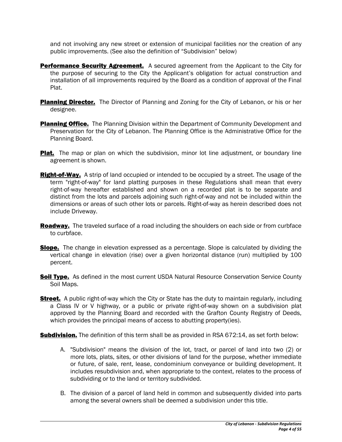and not involving any new street or extension of municipal facilities nor the creation of any public improvements. (See also the definition of "Subdivision" below)

- **Performance Security Agreement.** A secured agreement from the Applicant to the City for the purpose of securing to the City the Applicant's obligation for actual construction and installation of all improvements required by the Board as a condition of approval of the Final Plat.
- **Planning Director.** The Director of Planning and Zoning for the City of Lebanon, or his or her designee.
- **Planning Office.** The Planning Division within the Department of Community Development and Preservation for the City of Lebanon. The Planning Office is the Administrative Office for the Planning Board.
- **Plat.** The map or plan on which the subdivision, minor lot line adjustment, or boundary line agreement is shown.
- **Right-of-Way.** A strip of land occupied or intended to be occupied by a street. The usage of the term "right-of-way" for land platting purposes in these Regulations shall mean that every right-of-way hereafter established and shown on a recorded plat is to be separate and distinct from the lots and parcels adjoining such right-of-way and not be included within the dimensions or areas of such other lots or parcels. Right-of-way as herein described does not include Driveway.
- **Roadway.** The traveled surface of a road including the shoulders on each side or from curbface to curbface.
- **Slope.** The change in elevation expressed as a percentage. Slope is calculated by dividing the vertical change in elevation (rise) over a given horizontal distance (run) multiplied by 100 percent.
- **Soil Type.** As defined in the most current USDA Natural Resource Conservation Service County Soil Maps.
- **Street.** A public right-of-way which the City or State has the duty to maintain regularly, including a Class IV or V highway, or a public or private right-of-way shown on a subdivision plat approved by the Planning Board and recorded with the Grafton County Registry of Deeds, which provides the principal means of access to abutting property(ies).

**Subdivision.** The definition of this term shall be as provided in RSA 672:14, as set forth below:

- A. "Subdivision" means the division of the lot, tract, or parcel of land into two (2) or more lots, plats, sites, or other divisions of land for the purpose, whether immediate or future, of sale, rent, lease, condominium conveyance or building development. It includes resubdivision and, when appropriate to the context, relates to the process of subdividing or to the land or territory subdivided.
- B. The division of a parcel of land held in common and subsequently divided into parts among the several owners shall be deemed a subdivision under this title.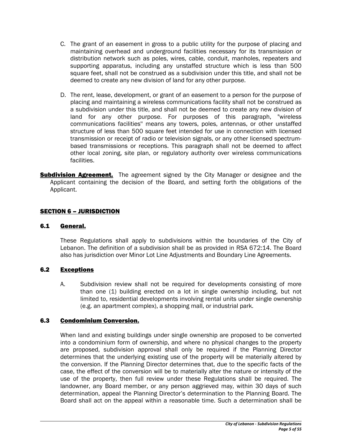- C. The grant of an easement in gross to a public utility for the purpose of placing and maintaining overhead and underground facilities necessary for its transmission or distribution network such as poles, wires, cable, conduit, manholes, repeaters and supporting apparatus, including any unstaffed structure which is less than 500 square feet, shall not be construed as a subdivision under this title, and shall not be deemed to create any new division of land for any other purpose.
- D. The rent, lease, development, or grant of an easement to a person for the purpose of placing and maintaining a wireless communications facility shall not be construed as a subdivision under this title, and shall not be deemed to create any new division of land for any other purpose. For purposes of this paragraph, "wireless communications facilities'' means any towers, poles, antennas, or other unstaffed structure of less than 500 square feet intended for use in connection with licensed transmission or receipt of radio or television signals, or any other licensed spectrumbased transmissions or receptions. This paragraph shall not be deemed to affect other local zoning, site plan, or regulatory authority over wireless communications facilities.
- **Subdivision Agreement.** The agreement signed by the City Manager or designee and the Applicant containing the decision of the Board, and setting forth the obligations of the Applicant.

## SECTION 6 – JURISDICTION

#### 6.1 General.

These Regulations shall apply to subdivisions within the boundaries of the City of Lebanon. The definition of a subdivision shall be as provided in RSA 672:14. The Board also has jurisdiction over Minor Lot Line Adjustments and Boundary Line Agreements.

#### 6.2 Exceptions

A. Subdivision review shall not be required for developments consisting of more than one (1) building erected on a lot in single ownership including, but not limited to, residential developments involving rental units under single ownership (e.g. an apartment complex), a shopping mall, or industrial park.

#### 6.3 Condominium Conversion.

When land and existing buildings under single ownership are proposed to be converted into a condominium form of ownership, and where no physical changes to the property are proposed, subdivision approval shall only be required if the Planning Director determines that the underlying existing use of the property will be materially altered by the conversion. If the Planning Director determines that, due to the specific facts of the case, the effect of the conversion will be to materially alter the nature or intensity of the use of the property, then full review under these Regulations shall be required. The landowner, any Board member, or any person aggrieved may, within 30 days of such determination, appeal the Planning Director's determination to the Planning Board. The Board shall act on the appeal within a reasonable time. Such a determination shall be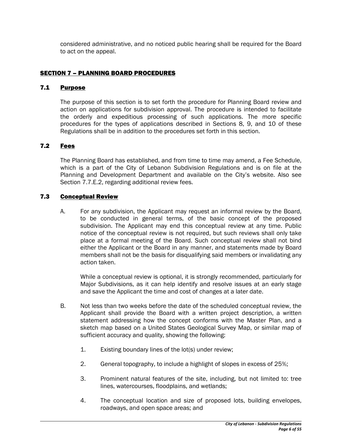considered administrative, and no noticed public hearing shall be required for the Board to act on the appeal.

## **SECTION 7 - PLANNING BOARD PROCEDURES**

#### 7.1 Purpose

The purpose of this section is to set forth the procedure for Planning Board review and action on applications for subdivision approval. The procedure is intended to facilitate the orderly and expeditious processing of such applications. The more specific procedures for the types of applications described in Sections 8, 9, and 10 of these Regulations shall be in addition to the procedures set forth in this section.

## 7.2 Fees

The Planning Board has established, and from time to time may amend, a Fee Schedule, which is a part of the City of Lebanon Subdivision Regulations and is on file at the Planning and Development Department and available on the City's website. Also see Section 7.7.E.2, regarding additional review fees.

## 7.3 Conceptual Review

A. For any subdivision, the Applicant may request an informal review by the Board, to be conducted in general terms, of the basic concept of the proposed subdivision. The Applicant may end this conceptual review at any time. Public notice of the conceptual review is not required, but such reviews shall only take place at a formal meeting of the Board. Such conceptual review shall not bind either the Applicant or the Board in any manner, and statements made by Board members shall not be the basis for disqualifying said members or invalidating any action taken.

While a conceptual review is optional, it is strongly recommended, particularly for Major Subdivisions, as it can help identify and resolve issues at an early stage and save the Applicant the time and cost of changes at a later date.

- B. Not less than two weeks before the date of the scheduled conceptual review, the Applicant shall provide the Board with a written project description, a written statement addressing how the concept conforms with the Master Plan, and a sketch map based on a United States Geological Survey Map, or similar map of sufficient accuracy and quality, showing the following:
	- 1. Existing boundary lines of the lot(s) under review;
	- 2. General topography, to include a highlight of slopes in excess of 25%;
	- 3. Prominent natural features of the site, including, but not limited to: tree lines, watercourses, floodplains, and wetlands;
	- 4. The conceptual location and size of proposed lots, building envelopes, roadways, and open space areas; and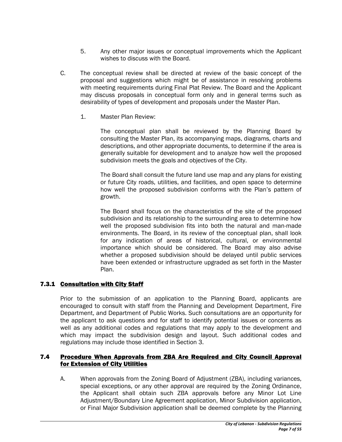- 5. Any other major issues or conceptual improvements which the Applicant wishes to discuss with the Board.
- C. The conceptual review shall be directed at review of the basic concept of the proposal and suggestions which might be of assistance in resolving problems with meeting requirements during Final Plat Review. The Board and the Applicant may discuss proposals in conceptual form only and in general terms such as desirability of types of development and proposals under the Master Plan.
	- 1. Master Plan Review:

The conceptual plan shall be reviewed by the Planning Board by consulting the Master Plan, its accompanying maps, diagrams, charts and descriptions, and other appropriate documents, to determine if the area is generally suitable for development and to analyze how well the proposed subdivision meets the goals and objectives of the City.

The Board shall consult the future land use map and any plans for existing or future City roads, utilities, and facilities, and open space to determine how well the proposed subdivision conforms with the Plan's pattern of growth.

The Board shall focus on the characteristics of the site of the proposed subdivision and its relationship to the surrounding area to determine how well the proposed subdivision fits into both the natural and man-made environments. The Board, in its review of the conceptual plan, shall look for any indication of areas of historical, cultural, or environmental importance which should be considered. The Board may also advise whether a proposed subdivision should be delayed until public services have been extended or infrastructure upgraded as set forth in the Master Plan.

# 7.3.1 Consultation with City Staff

Prior to the submission of an application to the Planning Board, applicants are encouraged to consult with staff from the Planning and Development Department, Fire Department, and Department of Public Works. Such consultations are an opportunity for the applicant to ask questions and for staff to identify potential issues or concerns as well as any additional codes and regulations that may apply to the development and which may impact the subdivision design and layout. Such additional codes and regulations may include those identified in Section 3.

#### 7.4 Procedure When Approvals from ZBA Are Required and City Council Approval for Extension of City Utilities

A. When approvals from the Zoning Board of Adjustment (ZBA), including variances, special exceptions, or any other approval are required by the Zoning Ordinance, the Applicant shall obtain such ZBA approvals before any Minor Lot Line Adjustment/Boundary Line Agreement application, Minor Subdivision application, or Final Major Subdivision application shall be deemed complete by the Planning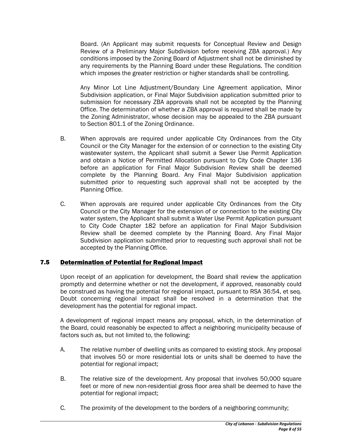Board. (An Applicant may submit requests for Conceptual Review and Design Review of a Preliminary Major Subdivision before receiving ZBA approval.) Any conditions imposed by the Zoning Board of Adjustment shall not be diminished by any requirements by the Planning Board under these Regulations. The condition which imposes the greater restriction or higher standards shall be controlling.

Any Minor Lot Line Adjustment/Boundary Line Agreement application, Minor Subdivision application, or Final Major Subdivision application submitted prior to submission for necessary ZBA approvals shall not be accepted by the Planning Office. The determination of whether a ZBA approval is required shall be made by the Zoning Administrator, whose decision may be appealed to the ZBA pursuant to Section 801.1 of the Zoning Ordinance.

- B. When approvals are required under applicable City Ordinances from the City Council or the City Manager for the extension of or connection to the existing City wastewater system, the Applicant shall submit a Sewer Use Permit Application and obtain a Notice of Permitted Allocation pursuant to City Code Chapter 136 before an application for Final Major Subdivision Review shall be deemed complete by the Planning Board. Any Final Major Subdivision application submitted prior to requesting such approval shall not be accepted by the Planning Office.
- C. When approvals are required under applicable City Ordinances from the City Council or the City Manager for the extension of or connection to the existing City water system, the Applicant shall submit a Water Use Permit Application pursuant to City Code Chapter 182 before an application for Final Major Subdivision Review shall be deemed complete by the Planning Board. Any Final Major Subdivision application submitted prior to requesting such approval shall not be accepted by the Planning Office.

# 7.5 Determination of Potential for Regional Impact

Upon receipt of an application for development, the Board shall review the application promptly and determine whether or not the development, if approved, reasonably could be construed as having the potential for regional impact, pursuant to RSA 36:54, et seq. Doubt concerning regional impact shall be resolved in a determination that the development has the potential for regional impact.

A development of regional impact means any proposal, which, in the determination of the Board, could reasonably be expected to affect a neighboring municipality because of factors such as, but not limited to, the following:

- A. The relative number of dwelling units as compared to existing stock. Any proposal that involves 50 or more residential lots or units shall be deemed to have the potential for regional impact;
- B. The relative size of the development. Any proposal that involves 50,000 square feet or more of new non-residential gross floor area shall be deemed to have the potential for regional impact;
- C. The proximity of the development to the borders of a neighboring community;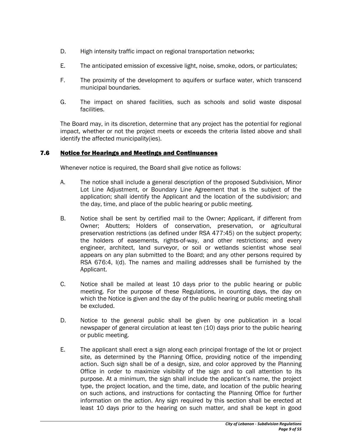- D. High intensity traffic impact on regional transportation networks;
- E. The anticipated emission of excessive light, noise, smoke, odors, or particulates;
- F. The proximity of the development to aquifers or surface water, which transcend municipal boundaries.
- G. The impact on shared facilities, such as schools and solid waste disposal facilities.

The Board may, in its discretion, determine that any project has the potential for regional impact, whether or not the project meets or exceeds the criteria listed above and shall identify the affected municipality(ies).

## 7.6 Notice for Hearings and Meetings and Continuances

Whenever notice is required, the Board shall give notice as follows:

- A. The notice shall include a general description of the proposed Subdivision, Minor Lot Line Adjustment, or Boundary Line Agreement that is the subject of the application; shall identify the Applicant and the location of the subdivision; and the day, time, and place of the public hearing or public meeting.
- B. Notice shall be sent by certified mail to the Owner; Applicant, if different from Owner; Abutters; Holders of conservation, preservation, or agricultural preservation restrictions (as defined under RSA 477:45) on the subject property; the holders of easements, rights-of-way, and other restrictions; and every engineer, architect, land surveyor, or soil or wetlands scientist whose seal appears on any plan submitted to the Board; and any other persons required by RSA 676:4, I(d). The names and mailing addresses shall be furnished by the Applicant.
- C. Notice shall be mailed at least 10 days prior to the public hearing or public meeting. For the purpose of these Regulations, in counting days, the day on which the Notice is given and the day of the public hearing or public meeting shall be excluded.
- D. Notice to the general public shall be given by one publication in a local newspaper of general circulation at least ten (10) days prior to the public hearing or public meeting.
- E. The applicant shall erect a sign along each principal frontage of the lot or project site, as determined by the Planning Office, providing notice of the impending action. Such sign shall be of a design, size, and color approved by the Planning Office in order to maximize visibility of the sign and to call attention to its purpose. At a minimum, the sign shall include the applicant's name, the project type, the project location, and the time, date, and location of the public hearing on such actions, and instructions for contacting the Planning Office for further information on the action. Any sign required by this section shall be erected at least 10 days prior to the hearing on such matter, and shall be kept in good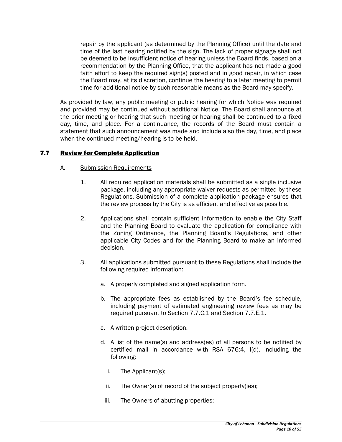repair by the applicant (as determined by the Planning Office) until the date and time of the last hearing notified by the sign. The lack of proper signage shall not be deemed to be insufficient notice of hearing unless the Board finds, based on a recommendation by the Planning Office, that the applicant has not made a good faith effort to keep the required sign(s) posted and in good repair, in which case the Board may, at its discretion, continue the hearing to a later meeting to permit time for additional notice by such reasonable means as the Board may specify.

As provided by law, any public meeting or public hearing for which Notice was required and provided may be continued without additional Notice. The Board shall announce at the prior meeting or hearing that such meeting or hearing shall be continued to a fixed day, time, and place. For a continuance, the records of the Board must contain a statement that such announcement was made and include also the day, time, and place when the continued meeting/hearing is to be held.

# 7.7 Review for Complete Application

#### A. Submission Requirements

- 1. All required application materials shall be submitted as a single inclusive package, including any appropriate waiver requests as permitted by these Regulations. Submission of a complete application package ensures that the review process by the City is as efficient and effective as possible.
- 2. Applications shall contain sufficient information to enable the City Staff and the Planning Board to evaluate the application for compliance with the Zoning Ordinance, the Planning Board's Regulations, and other applicable City Codes and for the Planning Board to make an informed decision.
- 3. All applications submitted pursuant to these Regulations shall include the following required information:
	- a. A properly completed and signed application form.
	- b. The appropriate fees as established by the Board's fee schedule, including payment of estimated engineering review fees as may be required pursuant to Section 7.7.C.1 and Section 7.7.E.1.
	- c. A written project description.
	- d. A list of the name(s) and address(es) of all persons to be notified by certified mail in accordance with RSA 676:4, I(d), including the following:
		- i. The Applicant(s);
		- ii. The Owner(s) of record of the subject property(ies);
		- iii. The Owners of abutting properties;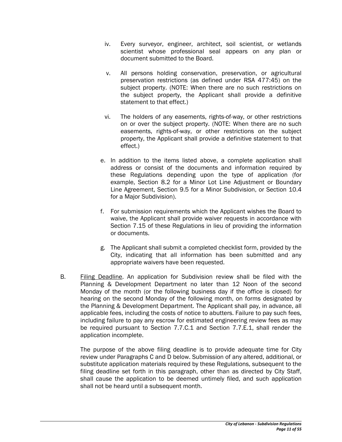- iv. Every surveyor, engineer, architect, soil scientist, or wetlands scientist whose professional seal appears on any plan or document submitted to the Board.
- v. All persons holding conservation, preservation, or agricultural preservation restrictions (as defined under RSA 477:45) on the subject property. (NOTE: When there are no such restrictions on the subject property, the Applicant shall provide a definitive statement to that effect.)
- vi. The holders of any easements, rights-of-way, or other restrictions on or over the subject property. (NOTE: When there are no such easements, rights-of-way, or other restrictions on the subject property, the Applicant shall provide a definitive statement to that effect.)
- e. In addition to the items listed above, a complete application shall address or consist of the documents and information required by these Regulations depending upon the type of application (for example, Section 8.2 for a Minor Lot Line Adjustment or Boundary Line Agreement, Section 9.5 for a Minor Subdivision, or Section 10.4 for a Major Subdivision).
- f. For submission requirements which the Applicant wishes the Board to waive, the Applicant shall provide waiver requests in accordance with Section 7.15 of these Regulations in lieu of providing the information or documents.
- g. The Applicant shall submit a completed checklist form, provided by the City, indicating that all information has been submitted and any appropriate waivers have been requested.
- B. Filing Deadline. An application for Subdivision review shall be filed with the Planning & Development Department no later than 12 Noon of the second Monday of the month (or the following business day if the office is closed) for hearing on the second Monday of the following month, on forms designated by the Planning & Development Department. The Applicant shall pay, in advance, all applicable fees, including the costs of notice to abutters. Failure to pay such fees, including failure to pay any escrow for estimated engineering review fees as may be required pursuant to Section 7.7.C.1 and Section 7.7.E.1, shall render the application incomplete.

The purpose of the above filing deadline is to provide adequate time for City review under Paragraphs C and D below. Submission of any altered, additional, or substitute application materials required by these Regulations, subsequent to the filing deadline set forth in this paragraph, other than as directed by City Staff, shall cause the application to be deemed untimely filed, and such application shall not be heard until a subsequent month.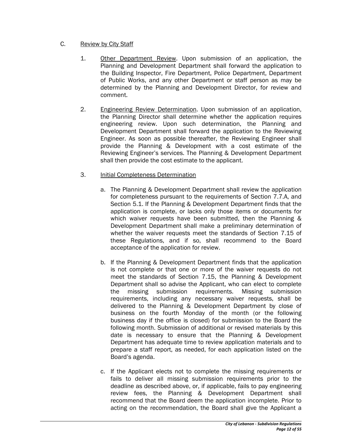## C. Review by City Staff

- 1. Other Department Review. Upon submission of an application, the Planning and Development Department shall forward the application to the Building Inspector, Fire Department, Police Department, Department of Public Works, and any other Department or staff person as may be determined by the Planning and Development Director, for review and comment.
- 2. Engineering Review Determination. Upon submission of an application, the Planning Director shall determine whether the application requires engineering review. Upon such determination, the Planning and Development Department shall forward the application to the Reviewing Engineer. As soon as possible thereafter, the Reviewing Engineer shall provide the Planning & Development with a cost estimate of the Reviewing Engineer's services. The Planning & Development Department shall then provide the cost estimate to the applicant.

## 3. Initial Completeness Determination

- a. The Planning & Development Department shall review the application for completeness pursuant to the requirements of Section 7.7.A, and Section 5.1. If the Planning & Development Department finds that the application is complete, or lacks only those items or documents for which waiver requests have been submitted, then the Planning & Development Department shall make a preliminary determination of whether the waiver requests meet the standards of Section 7.15 of these Regulations, and if so, shall recommend to the Board acceptance of the application for review.
- b. If the Planning & Development Department finds that the application is not complete or that one or more of the waiver requests do not meet the standards of Section 7.15, the Planning & Development Department shall so advise the Applicant, who can elect to complete the missing submission requirements. Missing submission requirements, including any necessary waiver requests, shall be delivered to the Planning & Development Department by close of business on the fourth Monday of the month (or the following business day if the office is closed) for submission to the Board the following month. Submission of additional or revised materials by this date is necessary to ensure that the Planning & Development Department has adequate time to review application materials and to prepare a staff report, as needed, for each application listed on the Board's agenda.
- c. If the Applicant elects not to complete the missing requirements or fails to deliver all missing submission requirements prior to the deadline as described above, or, if applicable, fails to pay engineering review fees, the Planning & Development Department shall recommend that the Board deem the application incomplete. Prior to acting on the recommendation, the Board shall give the Applicant a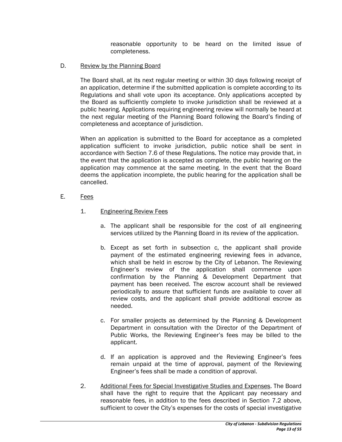reasonable opportunity to be heard on the limited issue of completeness.

D. Review by the Planning Board

The Board shall, at its next regular meeting or within 30 days following receipt of an application, determine if the submitted application is complete according to its Regulations and shall vote upon its acceptance. Only applications accepted by the Board as sufficiently complete to invoke jurisdiction shall be reviewed at a public hearing. Applications requiring engineering review will normally be heard at the next regular meeting of the Planning Board following the Board's finding of completeness and acceptance of jurisdiction.

When an application is submitted to the Board for acceptance as a completed application sufficient to invoke jurisdiction, public notice shall be sent in accordance with Section 7.6 of these Regulations. The notice may provide that, in the event that the application is accepted as complete, the public hearing on the application may commence at the same meeting. In the event that the Board deems the application incomplete, the public hearing for the application shall be cancelled.

- E. Fees
	- 1. Engineering Review Fees
		- a. The applicant shall be responsible for the cost of all engineering services utilized by the Planning Board in its review of the application.
		- b. Except as set forth in subsection c, the applicant shall provide payment of the estimated engineering reviewing fees in advance, which shall be held in escrow by the City of Lebanon. The Reviewing Engineer's review of the application shall commence upon confirmation by the Planning & Development Department that payment has been received. The escrow account shall be reviewed periodically to assure that sufficient funds are available to cover all review costs, and the applicant shall provide additional escrow as needed.
		- c. For smaller projects as determined by the Planning & Development Department in consultation with the Director of the Department of Public Works, the Reviewing Engineer's fees may be billed to the applicant.
		- d. If an application is approved and the Reviewing Engineer's fees remain unpaid at the time of approval, payment of the Reviewing Engineer's fees shall be made a condition of approval.
	- 2. Additional Fees for Special Investigative Studies and Expenses. The Board shall have the right to require that the Applicant pay necessary and reasonable fees, in addition to the fees described in Section 7.2 above, sufficient to cover the City's expenses for the costs of special investigative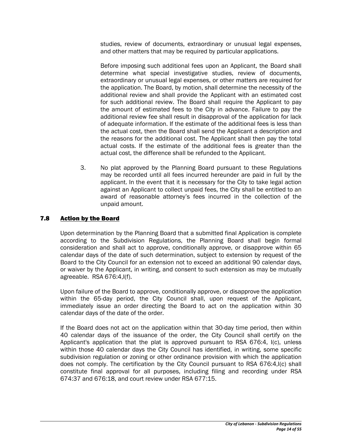studies, review of documents, extraordinary or unusual legal expenses, and other matters that may be required by particular applications.

Before imposing such additional fees upon an Applicant, the Board shall determine what special investigative studies, review of documents, extraordinary or unusual legal expenses, or other matters are required for the application. The Board, by motion, shall determine the necessity of the additional review and shall provide the Applicant with an estimated cost for such additional review. The Board shall require the Applicant to pay the amount of estimated fees to the City in advance. Failure to pay the additional review fee shall result in disapproval of the application for lack of adequate information. If the estimate of the additional fees is less than the actual cost, then the Board shall send the Applicant a description and the reasons for the additional cost. The Applicant shall then pay the total actual costs. If the estimate of the additional fees is greater than the actual cost, the difference shall be refunded to the Applicant.

3. No plat approved by the Planning Board pursuant to these Regulations may be recorded until all fees incurred hereunder are paid in full by the applicant. In the event that it is necessary for the City to take legal action against an Applicant to collect unpaid fees, the City shall be entitled to an award of reasonable attorney's fees incurred in the collection of the unpaid amount.

#### 7.8 Action by the Board

 Upon determination by the Planning Board that a submitted final Application is complete according to the Subdivision Regulations, the Planning Board shall begin formal consideration and shall act to approve, conditionally approve, or disapprove within 65 calendar days of the date of such determination, subject to extension by request of the Board to the City Council for an extension not to exceed an additional 90 calendar days, or waiver by the Applicant, in writing, and consent to such extension as may be mutually agreeable. RSA 676:4,I(f).

Upon failure of the Board to approve, conditionally approve, or disapprove the application within the 65-day period, the City Council shall, upon request of the Applicant, immediately issue an order directing the Board to act on the application within 30 calendar days of the date of the order.

If the Board does not act on the application within that 30-day time period, then within 40 calendar days of the issuance of the order, the City Council shall certify on the Applicant's application that the plat is approved pursuant to RSA 676:4, I(c), unless within those 40 calendar days the City Council has identified, in writing, some specific subdivision regulation or zoning or other ordinance provision with which the application does not comply. The certification by the City Council pursuant to RSA 676:4,I(c) shall constitute final approval for all purposes, including filing and recording under RSA 674:37 and 676:18, and court review under RSA 677:15.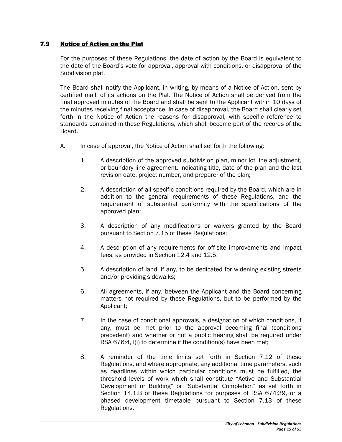## 7.9 Notice of Action on the Plat

 For the purposes of these Regulations, the date of action by the Board is equivalent to the date of the Board's vote for approval, approval with conditions, or disapproval of the Subdivision plat.

The Board shall notify the Applicant, in writing, by means of a Notice of Action, sent by certified mail, of its actions on the Plat. The Notice of Action shall be derived from the final approved minutes of the Board and shall be sent to the Applicant within 10 days of the minutes receiving final acceptance. In case of disapproval, the Board shall clearly set forth in the Notice of Action the reasons for disapproval, with specific reference to standards contained in these Regulations, which shall become part of the records of the Board.

- A. In case of approval, the Notice of Action shall set forth the following:
	- 1. A description of the approved subdivision plan, minor lot line adjustment, or boundary line agreement, indicating title, date of the plan and the last revision date, project number, and preparer of the plan;
	- 2. A description of all specific conditions required by the Board, which are in addition to the general requirements of these Regulations, and the requirement of substantial conformity with the specifications of the approved plan;
	- 3. A description of any modifications or waivers granted by the Board pursuant to Section 7.15 of these Regulations;
	- 4. A description of any requirements for off-site improvements and impact fees, as provided in Section 12.4 and 12.5;
	- 5. A description of land, if any, to be dedicated for widening existing streets and/or providing sidewalks;
	- 6. All agreements, if any, between the Applicant and the Board concerning matters not required by these Regulations, but to be performed by the Applicant;
	- 7. In the case of conditional approvals, a designation of which conditions, if any, must be met prior to the approval becoming final (conditions precedent) and whether or not a public hearing shall be required under RSA 676:4, I(i) to determine if the condition(s) have been met;
	- 8. A reminder of the time limits set forth in Section 7.12 of these Regulations, and where appropriate, any additional time parameters, such as deadlines within which particular conditions must be fulfilled, the threshold levels of work which shall constitute "Active and Substantial Development or Building" or "Substantial Completion" as set forth in Section 14.1.B of these Regulations for purposes of RSA 674:39, or a phased development timetable pursuant to Section 7.13 of these Regulations.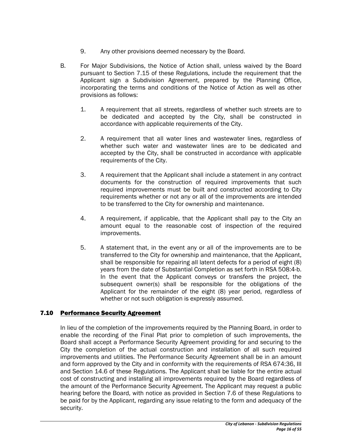- 9. Any other provisions deemed necessary by the Board.
- B. For Major Subdivisions, the Notice of Action shall, unless waived by the Board pursuant to Section 7.15 of these Regulations, include the requirement that the Applicant sign a Subdivision Agreement, prepared by the Planning Office, incorporating the terms and conditions of the Notice of Action as well as other provisions as follows:
	- 1. A requirement that all streets, regardless of whether such streets are to be dedicated and accepted by the City, shall be constructed in accordance with applicable requirements of the City.
	- 2. A requirement that all water lines and wastewater lines, regardless of whether such water and wastewater lines are to be dedicated and accepted by the City, shall be constructed in accordance with applicable requirements of the City.
	- 3. A requirement that the Applicant shall include a statement in any contract documents for the construction of required improvements that such required improvements must be built and constructed according to City requirements whether or not any or all of the improvements are intended to be transferred to the City for ownership and maintenance.
	- 4. A requirement, if applicable, that the Applicant shall pay to the City an amount equal to the reasonable cost of inspection of the required improvements.
	- 5. A statement that, in the event any or all of the improvements are to be transferred to the City for ownership and maintenance, that the Applicant, shall be responsible for repairing all latent defects for a period of eight (8) years from the date of Substantial Completion as set forth in RSA 508:4-b. In the event that the Applicant conveys or transfers the project, the subsequent owner(s) shall be responsible for the obligations of the Applicant for the remainder of the eight (8) year period, regardless of whether or not such obligation is expressly assumed.

# 7.10 Performance Security Agreement

 In lieu of the completion of the improvements required by the Planning Board, in order to enable the recording of the Final Plat prior to completion of such improvements, the Board shall accept a Performance Security Agreement providing for and securing to the City the completion of the actual construction and installation of all such required improvements and utilities. The Performance Security Agreement shall be in an amount and form approved by the City and in conformity with the requirements of RSA 674:36, III and Section 14.6 of these Regulations. The Applicant shall be liable for the entire actual cost of constructing and installing all improvements required by the Board regardless of the amount of the Performance Security Agreement. The Applicant may request a public hearing before the Board, with notice as provided in Section 7.6 of these Regulations to be paid for by the Applicant, regarding any issue relating to the form and adequacy of the security.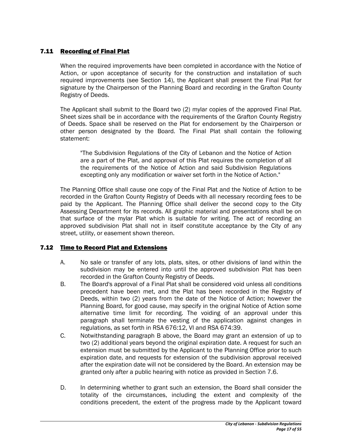# 7.11 Recording of Final Plat

 When the required improvements have been completed in accordance with the Notice of Action, or upon acceptance of security for the construction and installation of such required improvements (see Section 14), the Applicant shall present the Final Plat for signature by the Chairperson of the Planning Board and recording in the Grafton County Registry of Deeds.

The Applicant shall submit to the Board two (2) mylar copies of the approved Final Plat. Sheet sizes shall be in accordance with the requirements of the Grafton County Registry of Deeds. Space shall be reserved on the Plat for endorsement by the Chairperson or other person designated by the Board. The Final Plat shall contain the following statement:

"The Subdivision Regulations of the City of Lebanon and the Notice of Action are a part of the Plat, and approval of this Plat requires the completion of all the requirements of the Notice of Action and said Subdivision Regulations excepting only any modification or waiver set forth in the Notice of Action."

The Planning Office shall cause one copy of the Final Plat and the Notice of Action to be recorded in the Grafton County Registry of Deeds with all necessary recording fees to be paid by the Applicant. The Planning Office shall deliver the second copy to the City Assessing Department for its records. All graphic material and presentations shall be on that surface of the mylar Plat which is suitable for writing. The act of recording an approved subdivision Plat shall not in itself constitute acceptance by the City of any street, utility, or easement shown thereon.

# 7.12 Time to Record Plat and Extensions

- A. No sale or transfer of any lots, plats, sites, or other divisions of land within the subdivision may be entered into until the approved subdivision Plat has been recorded in the Grafton County Registry of Deeds.
- B. The Board's approval of a Final Plat shall be considered void unless all conditions precedent have been met, and the Plat has been recorded in the Registry of Deeds, within two (2) years from the date of the Notice of Action; however the Planning Board, for good cause, may specify in the original Notice of Action some alternative time limit for recording. The voiding of an approval under this paragraph shall terminate the vesting of the application against changes in regulations, as set forth in RSA 676:12, VI and RSA 674:39.
- C. Notwithstanding paragraph B above, the Board may grant an extension of up to two (2) additional years beyond the original expiration date. A request for such an extension must be submitted by the Applicant to the Planning Office prior to such expiration date, and requests for extension of the subdivision approval received after the expiration date will not be considered by the Board. An extension may be granted only after a public hearing with notice as provided in Section 7.6.
- D. In determining whether to grant such an extension, the Board shall consider the totality of the circumstances, including the extent and complexity of the conditions precedent, the extent of the progress made by the Applicant toward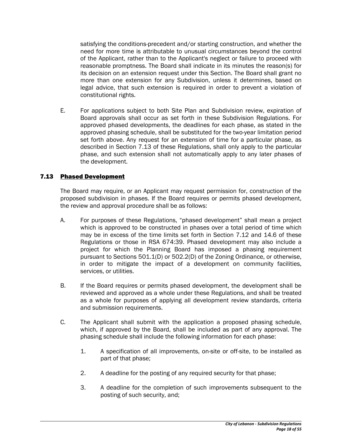satisfying the conditions-precedent and/or starting construction, and whether the need for more time is attributable to unusual circumstances beyond the control of the Applicant, rather than to the Applicant's neglect or failure to proceed with reasonable promptness. The Board shall indicate in its minutes the reason(s) for its decision on an extension request under this Section. The Board shall grant no more than one extension for any Subdivision, unless it determines, based on legal advice, that such extension is required in order to prevent a violation of constitutional rights.

E. For applications subject to both Site Plan and Subdivision review, expiration of Board approvals shall occur as set forth in these Subdivision Regulations. For approved phased developments, the deadlines for each phase, as stated in the approved phasing schedule, shall be substituted for the two-year limitation period set forth above. Any request for an extension of time for a particular phase, as described in Section 7.13 of these Regulations, shall only apply to the particular phase, and such extension shall not automatically apply to any later phases of the development.

# 7.13 Phased Development

The Board may require, or an Applicant may request permission for, construction of the proposed subdivision in phases. If the Board requires or permits phased development, the review and approval procedure shall be as follows:

- A. For purposes of these Regulations, "phased development" shall mean a project which is approved to be constructed in phases over a total period of time which may be in excess of the time limits set forth in Section 7.12 and 14.6 of these Regulations or those in RSA 674:39. Phased development may also include a project for which the Planning Board has imposed a phasing requirement pursuant to Sections 501.1(D) or 502.2(D) of the Zoning Ordinance, or otherwise, in order to mitigate the impact of a development on community facilities, services, or utilities.
- B. If the Board requires or permits phased development, the development shall be reviewed and approved as a whole under these Regulations, and shall be treated as a whole for purposes of applying all development review standards, criteria and submission requirements.
- C. The Applicant shall submit with the application a proposed phasing schedule, which, if approved by the Board, shall be included as part of any approval. The phasing schedule shall include the following information for each phase:
	- 1. A specification of all improvements, on-site or off-site, to be installed as part of that phase;
	- 2. A deadline for the posting of any required security for that phase;
	- 3. A deadline for the completion of such improvements subsequent to the posting of such security, and;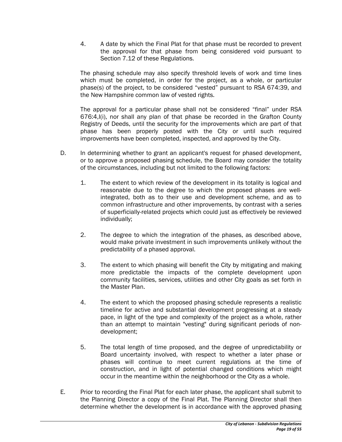4. A date by which the Final Plat for that phase must be recorded to prevent the approval for that phase from being considered void pursuant to Section 7.12 of these Regulations.

The phasing schedule may also specify threshold levels of work and time lines which must be completed, in order for the project, as a whole, or particular phase(s) of the project, to be considered "vested" pursuant to RSA 674:39, and the New Hampshire common law of vested rights.

The approval for a particular phase shall not be considered "final" under RSA 676:4,I(i), nor shall any plan of that phase be recorded in the Grafton County Registry of Deeds, until the security for the improvements which are part of that phase has been properly posted with the City or until such required improvements have been completed, inspected, and approved by the City.

- D. In determining whether to grant an applicant's request for phased development, or to approve a proposed phasing schedule, the Board may consider the totality of the circumstances, including but not limited to the following factors:
	- 1. The extent to which review of the development in its totality is logical and reasonable due to the degree to which the proposed phases are wellintegrated, both as to their use and development scheme, and as to common infrastructure and other improvements, by contrast with a series of superficially-related projects which could just as effectively be reviewed individually;
	- 2. The degree to which the integration of the phases, as described above, would make private investment in such improvements unlikely without the predictability of a phased approval.
	- 3. The extent to which phasing will benefit the City by mitigating and making more predictable the impacts of the complete development upon community facilities, services, utilities and other City goals as set forth in the Master Plan.
	- 4. The extent to which the proposed phasing schedule represents a realistic timeline for active and substantial development progressing at a steady pace, in light of the type and complexity of the project as a whole, rather than an attempt to maintain "vesting" during significant periods of nondevelopment;
	- 5. The total length of time proposed, and the degree of unpredictability or Board uncertainty involved, with respect to whether a later phase or phases will continue to meet current regulations at the time of construction, and in light of potential changed conditions which might occur in the meantime within the neighborhood or the City as a whole.
- E. Prior to recording the Final Plat for each later phase, the applicant shall submit to the Planning Director a copy of the Final Plat. The Planning Director shall then determine whether the development is in accordance with the approved phasing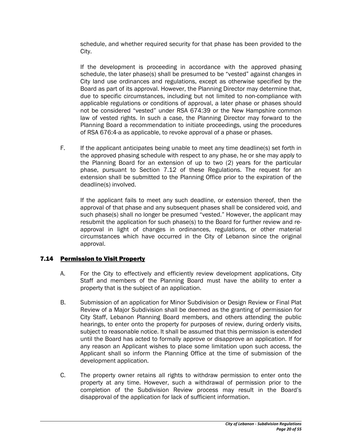schedule, and whether required security for that phase has been provided to the City.

If the development is proceeding in accordance with the approved phasing schedule, the later phase(s) shall be presumed to be "vested" against changes in City land use ordinances and regulations, except as otherwise specified by the Board as part of its approval. However, the Planning Director may determine that, due to specific circumstances, including but not limited to non-compliance with applicable regulations or conditions of approval, a later phase or phases should not be considered "vested" under RSA 674:39 or the New Hampshire common law of vested rights. In such a case, the Planning Director may forward to the Planning Board a recommendation to initiate proceedings, using the procedures of RSA 676:4-a as applicable, to revoke approval of a phase or phases.

F. If the applicant anticipates being unable to meet any time deadline(s) set forth in the approved phasing schedule with respect to any phase, he or she may apply to the Planning Board for an extension of up to two (2) years for the particular phase, pursuant to Section 7.12 of these Regulations. The request for an extension shall be submitted to the Planning Office prior to the expiration of the deadline(s) involved.

If the applicant fails to meet any such deadline, or extension thereof, then the approval of that phase and any subsequent phases shall be considered void, and such phase(s) shall no longer be presumed "vested." However, the applicant may resubmit the application for such phase(s) to the Board for further review and reapproval in light of changes in ordinances, regulations, or other material circumstances which have occurred in the City of Lebanon since the original approval.

# 7.14 Permission to Visit Property

- A. For the City to effectively and efficiently review development applications, City Staff and members of the Planning Board must have the ability to enter a property that is the subject of an application.
- B. Submission of an application for Minor Subdivision or Design Review or Final Plat Review of a Major Subdivision shall be deemed as the granting of permission for City Staff, Lebanon Planning Board members, and others attending the public hearings, to enter onto the property for purposes of review, during orderly visits, subject to reasonable notice. It shall be assumed that this permission is extended until the Board has acted to formally approve or disapprove an application. If for any reason an Applicant wishes to place some limitation upon such access, the Applicant shall so inform the Planning Office at the time of submission of the development application.
- C. The property owner retains all rights to withdraw permission to enter onto the property at any time. However, such a withdrawal of permission prior to the completion of the Subdivision Review process may result in the Board's disapproval of the application for lack of sufficient information.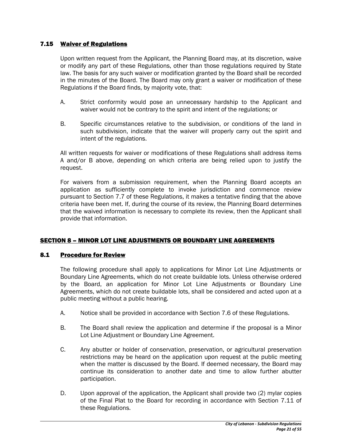## 7.15 Waiver of Regulations

Upon written request from the Applicant, the Planning Board may, at its discretion, waive or modify any part of these Regulations, other than those regulations required by State law. The basis for any such waiver or modification granted by the Board shall be recorded in the minutes of the Board. The Board may only grant a waiver or modification of these Regulations if the Board finds, by majority vote, that:

- A. Strict conformity would pose an unnecessary hardship to the Applicant and waiver would not be contrary to the spirit and intent of the regulations; or
- B. Specific circumstances relative to the subdivision, or conditions of the land in such subdivision, indicate that the waiver will properly carry out the spirit and intent of the regulations.

All written requests for waiver or modifications of these Regulations shall address items A and/or B above, depending on which criteria are being relied upon to justify the request.

For waivers from a submission requirement, when the Planning Board accepts an application as sufficiently complete to invoke jurisdiction and commence review pursuant to Section 7.7 of these Regulations, it makes a tentative finding that the above criteria have been met. If, during the course of its review, the Planning Board determines that the waived information is necessary to complete its review, then the Applicant shall provide that information.

#### SECTION 8 – MINOR LOT LINE ADJUSTMENTS OR BOUNDARY LINE AGREEMENTS

#### 8.1 Procedure for Review

The following procedure shall apply to applications for Minor Lot Line Adjustments or Boundary Line Agreements, which do not create buildable lots. Unless otherwise ordered by the Board, an application for Minor Lot Line Adjustments or Boundary Line Agreements, which do not create buildable lots, shall be considered and acted upon at a public meeting without a public hearing.

- A. Notice shall be provided in accordance with Section 7.6 of these Regulations.
- B. The Board shall review the application and determine if the proposal is a Minor Lot Line Adjustment or Boundary Line Agreement.
- C. Any abutter or holder of conservation, preservation, or agricultural preservation restrictions may be heard on the application upon request at the public meeting when the matter is discussed by the Board. If deemed necessary, the Board may continue its consideration to another date and time to allow further abutter participation.
- D. Upon approval of the application, the Applicant shall provide two (2) mylar copies of the Final Plat to the Board for recording in accordance with Section 7.11 of these Regulations.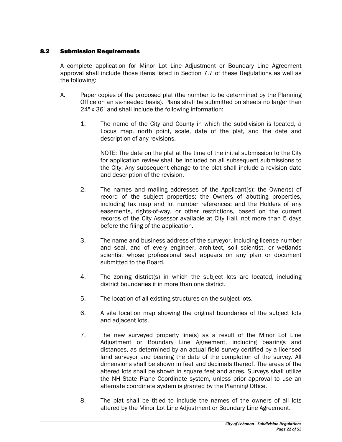# 8.2 Submission Requirements

A complete application for Minor Lot Line Adjustment or Boundary Line Agreement approval shall include those items listed in Section 7.7 of these Regulations as well as the following:

- A. Paper copies of the proposed plat (the number to be determined by the Planning Office on an as-needed basis). Plans shall be submitted on sheets no larger than 24" x 36" and shall include the following information:
	- 1. The name of the City and County in which the subdivision is located, a Locus map, north point, scale, date of the plat, and the date and description of any revisions.

NOTE: The date on the plat at the time of the initial submission to the City for application review shall be included on all subsequent submissions to the City. Any subsequent change to the plat shall include a revision date and description of the revision.

- 2. The names and mailing addresses of the Applicant(s); the Owner(s) of record of the subject properties; the Owners of abutting properties, including tax map and lot number references; and the Holders of any easements, rights-of-way, or other restrictions, based on the current records of the City Assessor available at City Hall, not more than 5 days before the filing of the application.
- 3. The name and business address of the surveyor, including license number and seal, and of every engineer, architect, soil scientist, or wetlands scientist whose professional seal appears on any plan or document submitted to the Board.
- 4. The zoning district(s) in which the subject lots are located, including district boundaries if in more than one district.
- 5. The location of all existing structures on the subject lots.
- 6. A site location map showing the original boundaries of the subject lots and adjacent lots.
- 7. The new surveyed property line(s) as a result of the Minor Lot Line Adjustment or Boundary Line Agreement, including bearings and distances, as determined by an actual field survey certified by a licensed land surveyor and bearing the date of the completion of the survey. All dimensions shall be shown in feet and decimals thereof. The areas of the altered lots shall be shown in square feet and acres. Surveys shall utilize the NH State Plane Coordinate system, unless prior approval to use an alternate coordinate system is granted by the Planning Office.
- 8. The plat shall be titled to include the names of the owners of all lots altered by the Minor Lot Line Adjustment or Boundary Line Agreement.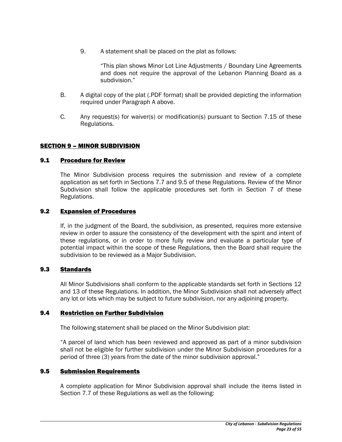9. A statement shall be placed on the plat as follows:

"This plan shows Minor Lot Line Adjustments / Boundary Line Agreements and does not require the approval of the Lebanon Planning Board as a subdivision."

- B. A digital copy of the plat (.PDF format) shall be provided depicting the information required under Paragraph A above.
- C. Any request(s) for waiver(s) or modification(s) pursuant to Section 7.15 of these Regulations.

## SECTION 9 – MINOR SUBDIVISION

#### 9.1 Procedure for Review

The Minor Subdivision process requires the submission and review of a complete application as set forth in Sections 7.7 and 9.5 of these Regulations. Review of the Minor Subdivision shall follow the applicable procedures set forth in Section 7 of these Regulations.

#### 9.2 Expansion of Procedures

If, in the judgment of the Board, the subdivision, as presented, requires more extensive review in order to assure the consistency of the development with the spirit and intent of these regulations, or in order to more fully review and evaluate a particular type of potential impact within the scope of these Regulations, then the Board shall require the subdivision to be reviewed as a Major Subdivision.

#### 9.3 Standards

All Minor Subdivisions shall conform to the applicable standards set forth in Sections 12 and 13 of these Regulations. In addition, the Minor Subdivision shall not adversely affect any lot or lots which may be subject to future subdivision, nor any adjoining property.

#### 9.4 Restriction on Further Subdivision

The following statement shall be placed on the Minor Subdivision plat:

"A parcel of land which has been reviewed and approved as part of a minor subdivision shall not be eligible for further subdivision under the Minor Subdivision procedures for a period of three (3) years from the date of the minor subdivision approval."

#### 9.5 Submission Requirements

A complete application for Minor Subdivision approval shall include the items listed in Section 7.7 of these Regulations as well as the following: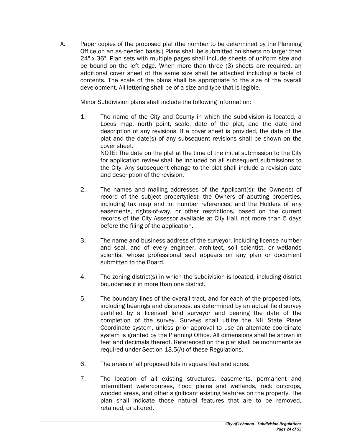A. Paper copies of the proposed plat (the number to be determined by the Planning Office on an as-needed basis.) Plans shall be submitted on sheets no larger than 24" x 36". Plan sets with multiple pages shall include sheets of uniform size and be bound on the left edge. When more than three (3) sheets are required, an additional cover sheet of the same size shall be attached including a table of contents. The scale of the plans shall be appropriate to the size of the overall development. All lettering shall be of a size and type that is legible.

Minor Subdivision plans shall include the following information:

1. The name of the City and County in which the subdivision is located, a Locus map, north point, scale, date of the plat, and the date and description of any revisions. If a cover sheet is provided, the date of the plat and the date(s) of any subsequent revisions shall be shown on the cover sheet.

NOTE: The date on the plat at the time of the initial submission to the City for application review shall be included on all subsequent submissions to the City. Any subsequent change to the plat shall include a revision date and description of the revision.

- 2. The names and mailing addresses of the Applicant(s); the Owner(s) of record of the subject property(ies); the Owners of abutting properties, including tax map and lot number references; and the Holders of any easements, rights-of-way, or other restrictions, based on the current records of the City Assessor available at City Hall, not more than 5 days before the filing of the application.
- 3. The name and business address of the surveyor, including license number and seal, and of every engineer, architect, soil scientist, or wetlands scientist whose professional seal appears on any plan or document submitted to the Board.
- 4. The zoning district(s) in which the subdivision is located, including district boundaries if in more than one district.
- 5. The boundary lines of the overall tract, and for each of the proposed lots, including bearings and distances, as determined by an actual field survey certified by a licensed land surveyor and bearing the date of the completion of the survey. Surveys shall utilize the NH State Plane Coordinate system, unless prior approval to use an alternate coordinate system is granted by the Planning Office. All dimensions shall be shown in feet and decimals thereof. Referenced on the plat shall be monuments as required under Section 13.5(A) of these Regulations.
- 6. The areas of all proposed lots in square feet and acres.
- 7. The location of all existing structures, easements, permanent and intermittent watercourses, flood plains and wetlands, rock outcrops, wooded areas, and other significant existing features on the property. The plan shall indicate those natural features that are to be removed, retained, or altered.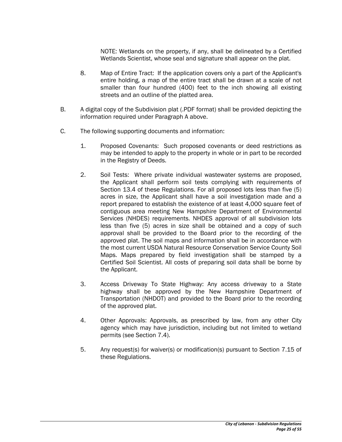NOTE: Wetlands on the property, if any, shall be delineated by a Certified Wetlands Scientist, whose seal and signature shall appear on the plat.

- 8. Map of Entire Tract: If the application covers only a part of the Applicant's entire holding, a map of the entire tract shall be drawn at a scale of not smaller than four hundred (400) feet to the inch showing all existing streets and an outline of the platted area.
- B. A digital copy of the Subdivision plat (.PDF format) shall be provided depicting the information required under Paragraph A above.
- C. The following supporting documents and information:
	- 1. Proposed Covenants: Such proposed covenants or deed restrictions as may be intended to apply to the property in whole or in part to be recorded in the Registry of Deeds.
	- 2. Soil Tests: Where private individual wastewater systems are proposed, the Applicant shall perform soil tests complying with requirements of Section 13.4 of these Regulations. For all proposed lots less than five (5) acres in size, the Applicant shall have a soil investigation made and a report prepared to establish the existence of at least 4,000 square feet of contiguous area meeting New Hampshire Department of Environmental Services (NHDES) requirements. NHDES approval of all subdivision lots less than five (5) acres in size shall be obtained and a copy of such approval shall be provided to the Board prior to the recording of the approved plat. The soil maps and information shall be in accordance with the most current USDA Natural Resource Conservation Service County Soil Maps. Maps prepared by field investigation shall be stamped by a Certified Soil Scientist. All costs of preparing soil data shall be borne by the Applicant.
	- 3. Access Driveway To State Highway: Any access driveway to a State highway shall be approved by the New Hampshire Department of Transportation (NHDOT) and provided to the Board prior to the recording of the approved plat.
	- 4. Other Approvals: Approvals, as prescribed by law, from any other City agency which may have jurisdiction, including but not limited to wetland permits (see Section 7.4).
	- 5. Any request(s) for waiver(s) or modification(s) pursuant to Section 7.15 of these Regulations.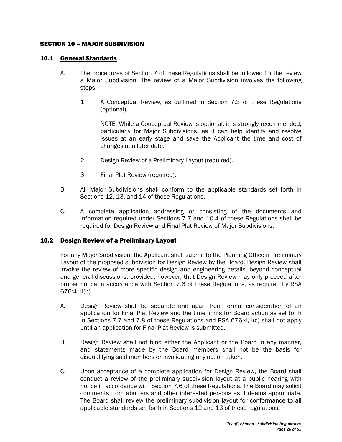## SECTION 10 – MAJOR SUBDIVISION

#### 10.1 General Standards

- A. The procedures of Section 7 of these Regulations shall be followed for the review a Major Subdivision. The review of a Major Subdivision involves the following steps:
	- 1. A Conceptual Review, as outlined in Section 7.3 of these Regulations (optional).

NOTE: While a Conceptual Review is optional, it is strongly recommended, particularly for Major Subdivisions, as it can help identify and resolve issues at an early stage and save the Applicant the time and cost of changes at a later date.

- 2. Design Review of a Preliminary Layout (required).
- 3. Final Plat Review (required).
- B. All Major Subdivisions shall conform to the applicable standards set forth in Sections 12, 13, and 14 of these Regulations.
- C. A complete application addressing or consisting of the documents and information required under Sections 7.7 and 10.4 of these Regulations shall be required for Design Review and Final Plat Review of Major Subdivisions.

#### 10.2 Design Review of a Preliminary Layout

For any Major Subdivision, the Applicant shall submit to the Planning Office a Preliminary Layout of the proposed subdivision for Design Review by the Board. Design Review shall involve the review of more specific design and engineering details, beyond conceptual and general discussions; provided, however, that Design Review may only proceed after proper notice in accordance with Section 7.6 of these Regulations, as required by RSA 676:4, II(b).

- A. Design Review shall be separate and apart from formal consideration of an application for Final Plat Review and the time limits for Board action as set forth in Sections 7.7 and 7.8 of these Regulations and RSA 676:4, I(c) shall not apply until an application for Final Plat Review is submitted.
- B. Design Review shall not bind either the Applicant or the Board in any manner, and statements made by the Board members shall not be the basis for disqualifying said members or invalidating any action taken.
- C. Upon acceptance of a complete application for Design Review, the Board shall conduct a review of the preliminary subdivision layout at a public hearing with notice in accordance with Section 7.6 of these Regulations. The Board may solicit comments from abutters and other interested persons as it deems appropriate. The Board shall review the preliminary subdivision layout for conformance to all applicable standards set forth in Sections 12 and 13 of these regulations.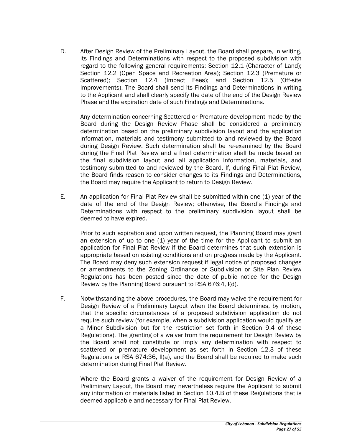D. After Design Review of the Preliminary Layout, the Board shall prepare, in writing, its Findings and Determinations with respect to the proposed subdivision with regard to the following general requirements: Section 12.1 (Character of Land); Section 12.2 (Open Space and Recreation Area); Section 12.3 (Premature or Scattered); Section 12.4 (Impact Fees); and Section 12.5 (Off-site Improvements). The Board shall send its Findings and Determinations in writing to the Applicant and shall clearly specify the date of the end of the Design Review Phase and the expiration date of such Findings and Determinations.

 Any determination concerning Scattered or Premature development made by the Board during the Design Review Phase shall be considered a preliminary determination based on the preliminary subdivision layout and the application information, materials and testimony submitted to and reviewed by the Board during Design Review. Such determination shall be re-examined by the Board during the Final Plat Review and a final determination shall be made based on the final subdivision layout and all application information, materials, and testimony submitted to and reviewed by the Board. If, during Final Plat Review, the Board finds reason to consider changes to its Findings and Determinations, the Board may require the Applicant to return to Design Review.

E. An application for Final Plat Review shall be submitted within one (1) year of the date of the end of the Design Review; otherwise, the Board's Findings and Determinations with respect to the preliminary subdivision layout shall be deemed to have expired.

Prior to such expiration and upon written request, the Planning Board may grant an extension of up to one (1) year of the time for the Applicant to submit an application for Final Plat Review if the Board determines that such extension is appropriate based on existing conditions and on progress made by the Applicant. The Board may deny such extension request if legal notice of proposed changes or amendments to the Zoning Ordinance or Subdivision or Site Plan Review Regulations has been posted since the date of public notice for the Design Review by the Planning Board pursuant to RSA 676:4, I(d).

F. Notwithstanding the above procedures, the Board may waive the requirement for Design Review of a Preliminary Layout when the Board determines, by motion, that the specific circumstances of a proposed subdivision application do not require such review (for example, when a subdivision application would qualify as a Minor Subdivision but for the restriction set forth in Section 9.4 of these Regulations). The granting of a waiver from the requirement for Design Review by the Board shall not constitute or imply any determination with respect to scattered or premature development as set forth in Section 12.3 of these Regulations or RSA 674:36, II(a), and the Board shall be required to make such determination during Final Plat Review.

Where the Board grants a waiver of the requirement for Design Review of a Preliminary Layout, the Board may nevertheless require the Applicant to submit any information or materials listed in Section 10.4.B of these Regulations that is deemed applicable and necessary for Final Plat Review.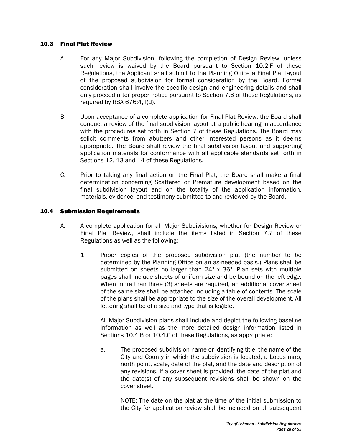## 10.3 Final Plat Review

- A. For any Major Subdivision, following the completion of Design Review, unless such review is waived by the Board pursuant to Section 10.2.F of these Regulations, the Applicant shall submit to the Planning Office a Final Plat layout of the proposed subdivision for formal consideration by the Board. Formal consideration shall involve the specific design and engineering details and shall only proceed after proper notice pursuant to Section 7.6 of these Regulations, as required by RSA 676:4, I(d).
- B. Upon acceptance of a complete application for Final Plat Review, the Board shall conduct a review of the final subdivision layout at a public hearing in accordance with the procedures set forth in Section 7 of these Regulations. The Board may solicit comments from abutters and other interested persons as it deems appropriate. The Board shall review the final subdivision layout and supporting application materials for conformance with all applicable standards set forth in Sections 12, 13 and 14 of these Regulations.
- C. Prior to taking any final action on the Final Plat, the Board shall make a final determination concerning Scattered or Premature development based on the final subdivision layout and on the totality of the application information, materials, evidence, and testimony submitted to and reviewed by the Board.

## 10.4 Submission Requirements

- A. A complete application for all Major Subdivisions, whether for Design Review or Final Plat Review, shall include the items listed in Section 7.7 of these Regulations as well as the following:
	- 1. Paper copies of the proposed subdivision plat (the number to be determined by the Planning Office on an as-needed basis.) Plans shall be submitted on sheets no larger than 24" x 36". Plan sets with multiple pages shall include sheets of uniform size and be bound on the left edge. When more than three (3) sheets are required, an additional cover sheet of the same size shall be attached including a table of contents. The scale of the plans shall be appropriate to the size of the overall development. All lettering shall be of a size and type that is legible.

All Major Subdivision plans shall include and depict the following baseline information as well as the more detailed design information listed in Sections 10.4.B or 10.4.C of these Regulations, as appropriate:

a. The proposed subdivision name or identifying title, the name of the City and County in which the subdivision is located, a Locus map, north point, scale, date of the plat, and the date and description of any revisions. If a cover sheet is provided, the date of the plat and the date(s) of any subsequent revisions shall be shown on the cover sheet.

NOTE: The date on the plat at the time of the initial submission to the City for application review shall be included on all subsequent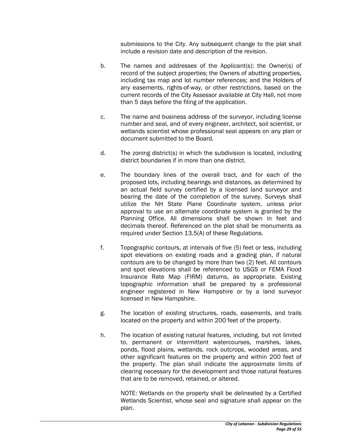submissions to the City. Any subsequent change to the plat shall include a revision date and description of the revision.

- b. The names and addresses of the Applicant(s); the Owner(s) of record of the subject properties; the Owners of abutting properties, including tax map and lot number references; and the Holders of any easements, rights-of-way, or other restrictions, based on the current records of the City Assessor available at City Hall, not more than 5 days before the filing of the application.
- c. The name and business address of the surveyor, including license number and seal, and of every engineer, architect, soil scientist, or wetlands scientist whose professional seal appears on any plan or document submitted to the Board.
- d. The zoning district(s) in which the subdivision is located, including district boundaries if in more than one district.
- e. The boundary lines of the overall tract, and for each of the proposed lots, including bearings and distances, as determined by an actual field survey certified by a licensed land surveyor and bearing the date of the completion of the survey. Surveys shall utilize the NH State Plane Coordinate system, unless prior approval to use an alternate coordinate system is granted by the Planning Office. All dimensions shall be shown in feet and decimals thereof. Referenced on the plat shall be monuments as required under Section 13.5(A) of these Regulations.
- f. Topographic contours, at intervals of five (5) feet or less, including spot elevations on existing roads and a grading plan, if natural contours are to be changed by more than two (2) feet. All contours and spot elevations shall be referenced to USGS or FEMA Flood Insurance Rate Map (FIRM) datums, as appropriate. Existing topographic information shall be prepared by a professional engineer registered in New Hampshire or by a land surveyor licensed in New Hampshire.
- g. The location of existing structures, roads, easements, and trails located on the property and within 200 feet of the property.
- h. The location of existing natural features, including, but not limited to, permanent or intermittent watercourses, marshes, lakes, ponds, flood plains, wetlands, rock outcrops, wooded areas, and other significant features on the property and within 200 feet of the property. The plan shall indicate the approximate limits of clearing necessary for the development and those natural features that are to be removed, retained, or altered.

NOTE: Wetlands on the property shall be delineated by a Certified Wetlands Scientist, whose seal and signature shall appear on the plan.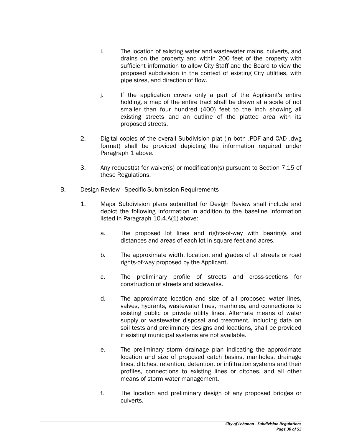- i. The location of existing water and wastewater mains, culverts, and drains on the property and within 200 feet of the property with sufficient information to allow City Staff and the Board to view the proposed subdivision in the context of existing City utilities, with pipe sizes, and direction of flow.
- j. If the application covers only a part of the Applicant's entire holding, a map of the entire tract shall be drawn at a scale of not smaller than four hundred (400) feet to the inch showing all existing streets and an outline of the platted area with its proposed streets.
- 2. Digital copies of the overall Subdivision plat (in both .PDF and CAD .dwg format) shall be provided depicting the information required under Paragraph 1 above.
- 3. Any request(s) for waiver(s) or modification(s) pursuant to Section 7.15 of these Regulations.
- B. Design Review Specific Submission Requirements
	- 1. Major Subdivision plans submitted for Design Review shall include and depict the following information in addition to the baseline information listed in Paragraph 10.4.A(1) above:
		- a. The proposed lot lines and rights-of-way with bearings and distances and areas of each lot in square feet and acres.
		- b. The approximate width, location, and grades of all streets or road rights-of-way proposed by the Applicant.
		- c. The preliminary profile of streets and cross-sections for construction of streets and sidewalks.
		- d. The approximate location and size of all proposed water lines, valves, hydrants, wastewater lines, manholes, and connections to existing public or private utility lines. Alternate means of water supply or wastewater disposal and treatment, including data on soil tests and preliminary designs and locations, shall be provided if existing municipal systems are not available.
		- e. The preliminary storm drainage plan indicating the approximate location and size of proposed catch basins, manholes, drainage lines, ditches, retention, detention, or infiltration systems and their profiles, connections to existing lines or ditches, and all other means of storm water management.
		- f. The location and preliminary design of any proposed bridges or culverts.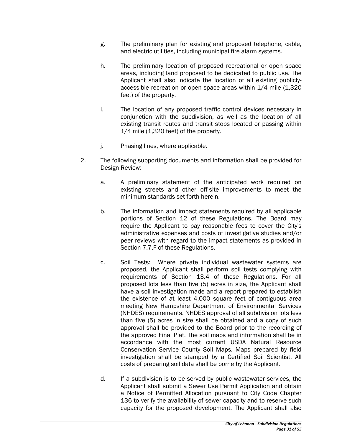- g. The preliminary plan for existing and proposed telephone, cable, and electric utilities, including municipal fire alarm systems.
- h. The preliminary location of proposed recreational or open space areas, including land proposed to be dedicated to public use. The Applicant shall also indicate the location of all existing publiclyaccessible recreation or open space areas within 1/4 mile (1,320 feet) of the property.
- i. The location of any proposed traffic control devices necessary in conjunction with the subdivision, as well as the location of all existing transit routes and transit stops located or passing within 1/4 mile (1,320 feet) of the property.
- j. Phasing lines, where applicable.
- 2. The following supporting documents and information shall be provided for Design Review:
	- a. A preliminary statement of the anticipated work required on existing streets and other off-site improvements to meet the minimum standards set forth herein.
	- b. The information and impact statements required by all applicable portions of Section 12 of these Regulations. The Board may require the Applicant to pay reasonable fees to cover the City's administrative expenses and costs of investigative studies and/or peer reviews with regard to the impact statements as provided in Section 7.7.F of these Regulations.
	- c. Soil Tests: Where private individual wastewater systems are proposed, the Applicant shall perform soil tests complying with requirements of Section 13.4 of these Regulations. For all proposed lots less than five (5) acres in size, the Applicant shall have a soil investigation made and a report prepared to establish the existence of at least 4,000 square feet of contiguous area meeting New Hampshire Department of Environmental Services (NHDES) requirements. NHDES approval of all subdivision lots less than five (5) acres in size shall be obtained and a copy of such approval shall be provided to the Board prior to the recording of the approved Final Plat. The soil maps and information shall be in accordance with the most current USDA Natural Resource Conservation Service County Soil Maps. Maps prepared by field investigation shall be stamped by a Certified Soil Scientist. All costs of preparing soil data shall be borne by the Applicant.
	- d. If a subdivision is to be served by public wastewater services, the Applicant shall submit a Sewer Use Permit Application and obtain a Notice of Permitted Allocation pursuant to City Code Chapter 136 to verify the availability of sewer capacity and to reserve such capacity for the proposed development. The Applicant shall also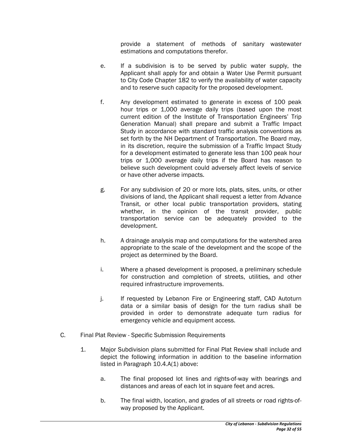provide a statement of methods of sanitary wastewater estimations and computations therefor.

- e. If a subdivision is to be served by public water supply, the Applicant shall apply for and obtain a Water Use Permit pursuant to City Code Chapter 182 to verify the availability of water capacity and to reserve such capacity for the proposed development.
- f. Any development estimated to generate in excess of 100 peak hour trips or 1,000 average daily trips (based upon the most current edition of the Institute of Transportation Engineers' Trip Generation Manual) shall prepare and submit a Traffic Impact Study in accordance with standard traffic analysis conventions as set forth by the NH Department of Transportation. The Board may, in its discretion, require the submission of a Traffic Impact Study for a development estimated to generate less than 100 peak hour trips or 1,000 average daily trips if the Board has reason to believe such development could adversely affect levels of service or have other adverse impacts.
- g. For any subdivision of 20 or more lots, plats, sites, units, or other divisions of land, the Applicant shall request a letter from Advance Transit, or other local public transportation providers, stating whether, in the opinion of the transit provider, public transportation service can be adequately provided to the development.
- h. A drainage analysis map and computations for the watershed area appropriate to the scale of the development and the scope of the project as determined by the Board.
- i. Where a phased development is proposed, a preliminary schedule for construction and completion of streets, utilities, and other required infrastructure improvements.
- j. If requested by Lebanon Fire or Engineering staff, CAD Autoturn data or a similar basis of design for the turn radius shall be provided in order to demonstrate adequate turn radius for emergency vehicle and equipment access.
- C. Final Plat Review Specific Submission Requirements
	- 1. Major Subdivision plans submitted for Final Plat Review shall include and depict the following information in addition to the baseline information listed in Paragraph 10.4.A(1) above:
		- a. The final proposed lot lines and rights-of-way with bearings and distances and areas of each lot in square feet and acres.
		- b. The final width, location, and grades of all streets or road rights-ofway proposed by the Applicant.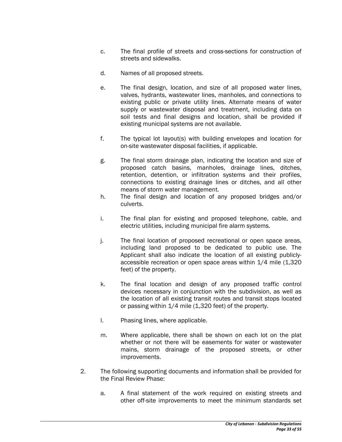- c. The final profile of streets and cross-sections for construction of streets and sidewalks.
- d. Names of all proposed streets.
- e. The final design, location, and size of all proposed water lines, valves, hydrants, wastewater lines, manholes, and connections to existing public or private utility lines. Alternate means of water supply or wastewater disposal and treatment, including data on soil tests and final designs and location, shall be provided if existing municipal systems are not available.
- f. The typical lot layout(s) with building envelopes and location for on-site wastewater disposal facilities, if applicable.
- g. The final storm drainage plan, indicating the location and size of proposed catch basins, manholes, drainage lines, ditches, retention, detention, or infiltration systems and their profiles, connections to existing drainage lines or ditches, and all other means of storm water management.
- h. The final design and location of any proposed bridges and/or culverts.
- i. The final plan for existing and proposed telephone, cable, and electric utilities, including municipal fire alarm systems.
- j. The final location of proposed recreational or open space areas, including land proposed to be dedicated to public use. The Applicant shall also indicate the location of all existing publiclyaccessible recreation or open space areas within 1/4 mile (1,320 feet) of the property.
- k. The final location and design of any proposed traffic control devices necessary in conjunction with the subdivision, as well as the location of all existing transit routes and transit stops located or passing within 1/4 mile (1,320 feet) of the property.
- l. Phasing lines, where applicable.
- m. Where applicable, there shall be shown on each lot on the plat whether or not there will be easements for water or wastewater mains, storm drainage of the proposed streets, or other improvements.
- 2. The following supporting documents and information shall be provided for the Final Review Phase:
	- a. A final statement of the work required on existing streets and other off-site improvements to meet the minimum standards set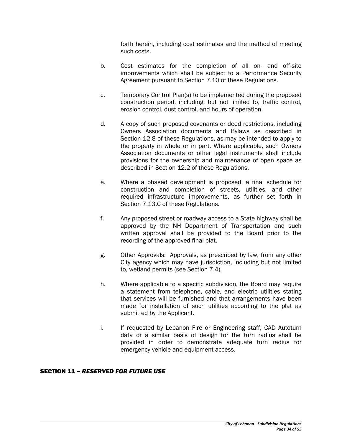forth herein, including cost estimates and the method of meeting such costs.

- b. Cost estimates for the completion of all on- and off-site improvements which shall be subject to a Performance Security Agreement pursuant to Section 7.10 of these Regulations.
- c. Temporary Control Plan(s) to be implemented during the proposed construction period, including, but not limited to, traffic control, erosion control, dust control, and hours of operation.
- d. A copy of such proposed covenants or deed restrictions, including Owners Association documents and Bylaws as described in Section 12.8 of these Regulations, as may be intended to apply to the property in whole or in part. Where applicable, such Owners Association documents or other legal instruments shall include provisions for the ownership and maintenance of open space as described in Section 12.2 of these Regulations.
- e. Where a phased development is proposed, a final schedule for construction and completion of streets, utilities, and other required infrastructure improvements, as further set forth in Section 7.13.C of these Regulations.
- f. Any proposed street or roadway access to a State highway shall be approved by the NH Department of Transportation and such written approval shall be provided to the Board prior to the recording of the approved final plat.
- g. Other Approvals: Approvals, as prescribed by law, from any other City agency which may have jurisdiction, including but not limited to, wetland permits (see Section 7.4).
- h. Where applicable to a specific subdivision, the Board may require a statement from telephone, cable, and electric utilities stating that services will be furnished and that arrangements have been made for installation of such utilities according to the plat as submitted by the Applicant.
- i. If requested by Lebanon Fire or Engineering staff, CAD Autoturn data or a similar basis of design for the turn radius shall be provided in order to demonstrate adequate turn radius for emergency vehicle and equipment access.

#### SECTION 11 – *RESERVED FOR FUTURE USE*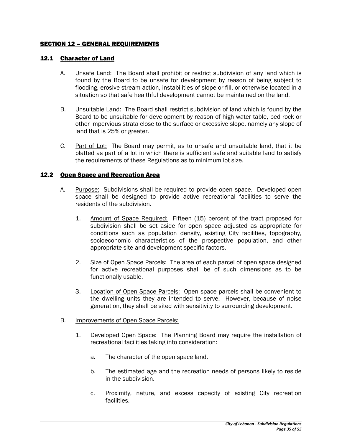#### SECTION 12 – GENERAL REQUIREMENTS

#### 12.1 Character of Land

- A. **Unsafe Land:** The Board shall prohibit or restrict subdivision of any land which is found by the Board to be unsafe for development by reason of being subject to flooding, erosive stream action, instabilities of slope or fill, or otherwise located in a situation so that safe healthful development cannot be maintained on the land.
- B. Unsuitable Land: The Board shall restrict subdivision of land which is found by the Board to be unsuitable for development by reason of high water table, bed rock or other impervious strata close to the surface or excessive slope, namely any slope of land that is 25% or greater.
- C. Part of Lot: The Board may permit, as to unsafe and unsuitable land, that it be platted as part of a lot in which there is sufficient safe and suitable land to satisfy the requirements of these Regulations as to minimum lot size.

#### 12.2 Open Space and Recreation Area

- A. Purpose: Subdivisions shall be required to provide open space. Developed open space shall be designed to provide active recreational facilities to serve the residents of the subdivision.
	- 1. Amount of Space Required: Fifteen (15) percent of the tract proposed for subdivision shall be set aside for open space adjusted as appropriate for conditions such as population density, existing City facilities, topography, socioeconomic characteristics of the prospective population, and other appropriate site and development specific factors.
	- 2. Size of Open Space Parcels: The area of each parcel of open space designed for active recreational purposes shall be of such dimensions as to be functionally usable.
	- 3. Location of Open Space Parcels: Open space parcels shall be convenient to the dwelling units they are intended to serve. However, because of noise generation, they shall be sited with sensitivity to surrounding development.
- B. Improvements of Open Space Parcels:
	- 1. Developed Open Space: The Planning Board may require the installation of recreational facilities taking into consideration:
		- a. The character of the open space land.
		- b. The estimated age and the recreation needs of persons likely to reside in the subdivision.
		- c. Proximity, nature, and excess capacity of existing City recreation facilities.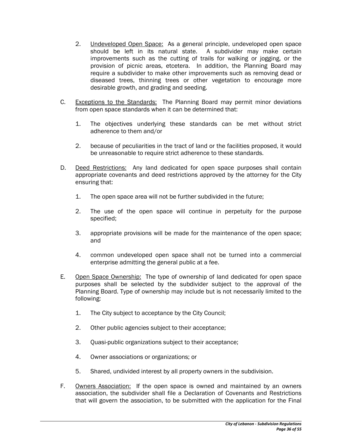- 2. Undeveloped Open Space: As a general principle, undeveloped open space should be left in its natural state. A subdivider may make certain improvements such as the cutting of trails for walking or jogging, or the provision of picnic areas, etcetera. In addition, the Planning Board may require a subdivider to make other improvements such as removing dead or diseased trees, thinning trees or other vegetation to encourage more desirable growth, and grading and seeding.
- C. Exceptions to the Standards: The Planning Board may permit minor deviations from open space standards when it can be determined that:
	- 1. The objectives underlying these standards can be met without strict adherence to them and/or
	- 2. because of peculiarities in the tract of land or the facilities proposed, it would be unreasonable to require strict adherence to these standards.
- D. Deed Restrictions: Any land dedicated for open space purposes shall contain appropriate covenants and deed restrictions approved by the attorney for the City ensuring that:
	- 1. The open space area will not be further subdivided in the future;
	- 2. The use of the open space will continue in perpetuity for the purpose specified;
	- 3. appropriate provisions will be made for the maintenance of the open space; and
	- 4. common undeveloped open space shall not be turned into a commercial enterprise admitting the general public at a fee.
- E. Open Space Ownership: The type of ownership of land dedicated for open space purposes shall be selected by the subdivider subject to the approval of the Planning Board. Type of ownership may include but is not necessarily limited to the following:
	- 1. The City subject to acceptance by the City Council;
	- 2. Other public agencies subject to their acceptance;
	- 3. Quasi-public organizations subject to their acceptance;
	- 4. Owner associations or organizations; or
	- 5. Shared, undivided interest by all property owners in the subdivision.
- F. Owners Association: If the open space is owned and maintained by an owners association, the subdivider shall file a Declaration of Covenants and Restrictions that will govern the association, to be submitted with the application for the Final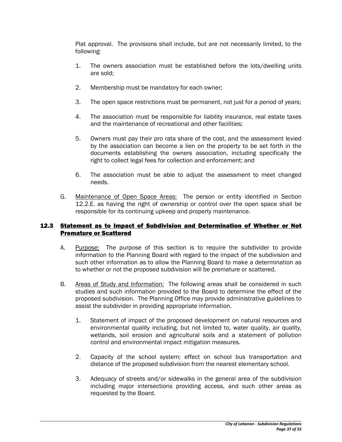Plat approval. The provisions shall include, but are not necessarily limited, to the following:

- 1. The owners association must be established before the lots/dwelling units are sold;
- 2. Membership must be mandatory for each owner;
- 3. The open space restrictions must be permanent, not just for a period of years;
- 4. The association must be responsible for liability insurance, real estate taxes and the maintenance of recreational and other facilities;
- 5. Owners must pay their pro rata share of the cost, and the assessment levied by the association can become a lien on the property to be set forth in the documents establishing the owners association, including specifically the right to collect legal fees for collection and enforcement; and
- 6. The association must be able to adjust the assessment to meet changed needs.
- G. Maintenance of Open Space Areas: The person or entity identified in Section 12.2.E. as having the right of ownership or control over the open space shall be responsible for its continuing upkeep and property maintenance.

#### 12.3 Statement as to Impact of Subdivision and Determination of Whether or Not Premature or Scattered

- A. Purpose: The purpose of this section is to require the subdivider to provide information to the Planning Board with regard to the impact of the subdivision and such other information as to allow the Planning Board to make a determination as to whether or not the proposed subdivision will be premature or scattered.
- B. Areas of Study and Information: The following areas shall be considered in such studies and such information provided to the Board to determine the effect of the proposed subdivision. The Planning Office may provide administrative guidelines to assist the subdivider in providing appropriate information.
	- 1. Statement of impact of the proposed development on natural resources and environmental quality including, but not limited to, water quality, air quality, wetlands, soil erosion and agricultural soils and a statement of pollution control and environmental impact mitigation measures.
	- 2. Capacity of the school system; effect on school bus transportation and distance of the proposed subdivision from the nearest elementary school.
	- 3. Adequacy of streets and/or sidewalks in the general area of the subdivision including major intersections providing access, and such other areas as requested by the Board.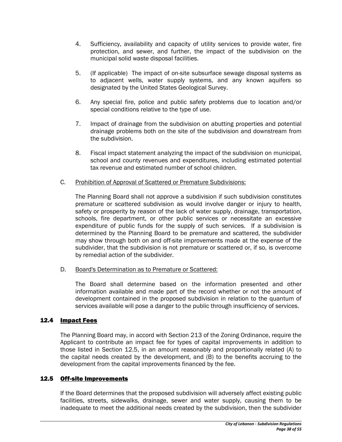- 4. Sufficiency, availability and capacity of utility services to provide water, fire protection, and sewer, and further, the impact of the subdivision on the municipal solid waste disposal facilities.
- 5. (If applicable) The impact of on-site subsurface sewage disposal systems as to adjacent wells, water supply systems, and any known aquifers so designated by the United States Geological Survey.
- 6. Any special fire, police and public safety problems due to location and/or special conditions relative to the type of use.
- 7. Impact of drainage from the subdivision on abutting properties and potential drainage problems both on the site of the subdivision and downstream from the subdivision.
- 8. Fiscal impact statement analyzing the impact of the subdivision on municipal, school and county revenues and expenditures, including estimated potential tax revenue and estimated number of school children.

#### C. Prohibition of Approval of Scattered or Premature Subdivisions:

The Planning Board shall not approve a subdivision if such subdivision constitutes premature or scattered subdivision as would involve danger or injury to health, safety or prosperity by reason of the lack of water supply, drainage, transportation, schools, fire department, or other public services or necessitate an excessive expenditure of public funds for the supply of such services. If a subdivision is determined by the Planning Board to be premature and scattered, the subdivider may show through both on and off-site improvements made at the expense of the subdivider, that the subdivision is not premature or scattered or, if so, is overcome by remedial action of the subdivider.

D. Board's Determination as to Premature or Scattered:

The Board shall determine based on the information presented and other information available and made part of the record whether or not the amount of development contained in the proposed subdivision in relation to the quantum of services available will pose a danger to the public through insufficiency of services.

# 12.4 Impact Fees

The Planning Board may, in accord with Section 213 of the Zoning Ordinance, require the Applicant to contribute an impact fee for types of capital improvements in addition to those listed in Section 12.5, in an amount reasonably and proportionally related (A) to the capital needs created by the development, and (B) to the benefits accruing to the development from the capital improvements financed by the fee.

# 12.5 Off-site Improvements

If the Board determines that the proposed subdivision will adversely affect existing public facilities, streets, sidewalks, drainage, sewer and water supply, causing them to be inadequate to meet the additional needs created by the subdivision, then the subdivider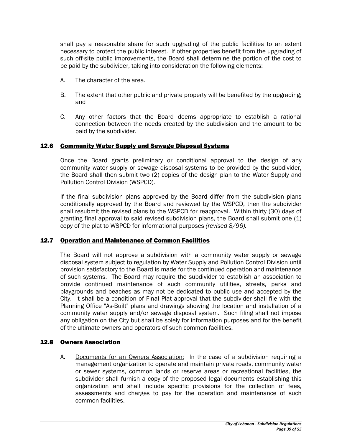shall pay a reasonable share for such upgrading of the public facilities to an extent necessary to protect the public interest. If other properties benefit from the upgrading of such off-site public improvements, the Board shall determine the portion of the cost to be paid by the subdivider, taking into consideration the following elements:

- A. The character of the area.
- B. The extent that other public and private property will be benefited by the upgrading; and
- C. Any other factors that the Board deems appropriate to establish a rational connection between the needs created by the subdivision and the amount to be paid by the subdivider.

#### 12.6 Community Water Supply and Sewage Disposal Systems

Once the Board grants preliminary or conditional approval to the design of any community water supply or sewage disposal systems to be provided by the subdivider, the Board shall then submit two (2) copies of the design plan to the Water Supply and Pollution Control Division (WSPCD).

If the final subdivision plans approved by the Board differ from the subdivision plans conditionally approved by the Board and reviewed by the WSPCD, then the subdivider shall resubmit the revised plans to the WSPCD for reapproval. Within thirty (30) days of granting final approval to said revised subdivision plans, the Board shall submit one  $(1)$ copy of the plat to WSPCD for informational purposes *(revised 8/96).* 

#### 12.7 Operation and Maintenance of Common Facilities

The Board will not approve a subdivision with a community water supply or sewage disposal system subject to regulation by Water Supply and Pollution Control Division until provision satisfactory to the Board is made for the continued operation and maintenance of such systems. The Board may require the subdivider to establish an association to provide continued maintenance of such community utilities, streets, parks and playgrounds and beaches as may not be dedicated to public use and accepted by the City. It shall be a condition of Final Plat approval that the subdivider shall file with the Planning Office "As-Built" plans and drawings showing the location and installation of a community water supply and/or sewage disposal system. Such filing shall not impose any obligation on the City but shall be solely for information purposes and for the benefit of the ultimate owners and operators of such common facilities.

#### 12.8 Owners Association

A. Documents for an Owners Association: In the case of a subdivision requiring a management organization to operate and maintain private roads, community water or sewer systems, common lands or reserve areas or recreational facilities, the subdivider shall furnish a copy of the proposed legal documents establishing this organization and shall include specific provisions for the collection of fees, assessments and charges to pay for the operation and maintenance of such common facilities.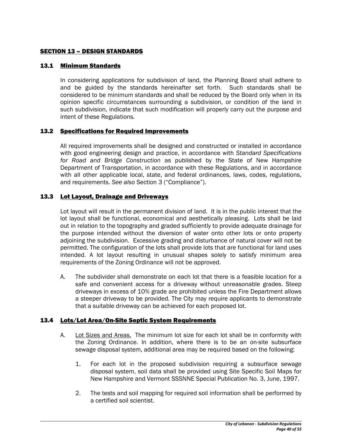#### SECTION 13 – DESIGN STANDARDS

#### 13.1 Minimum Standards

In considering applications for subdivision of land, the Planning Board shall adhere to and be guided by the standards hereinafter set forth. Such standards shall be considered to be minimum standards and shall be reduced by the Board only when in its opinion specific circumstances surrounding a subdivision, or condition of the land in such subdivision, indicate that such modification will properly carry out the purpose and intent of these Regulations.

#### 13.2 Specifications for Required Improvements

All required improvements shall be designed and constructed or installed in accordance with good engineering design and practice, in accordance with *Standard Specifications for Road and Bridge Construction* as published by the State of New Hampshire Department of Transportation, in accordance with these Regulations, and in accordance with all other applicable local, state, and federal ordinances, laws, codes, regulations, and requirements. *See also* Section 3 ("Compliance").

## 13.3 Lot Layout, Drainage and Driveways

Lot layout will result in the permanent division of land. It is in the public interest that the lot layout shall be functional, economical and aesthetically pleasing. Lots shall be laid out in relation to the topography and graded sufficiently to provide adequate drainage for the purpose intended without the diversion of water onto other lots or onto property adjoining the subdivision. Excessive grading and disturbance of natural cover will not be permitted. The configuration of the lots shall provide lots that are functional for land uses intended. A lot layout resulting in unusual shapes solely to satisfy minimum area requirements of the Zoning Ordinance will not be approved.

A. The subdivider shall demonstrate on each lot that there is a feasible location for a safe and convenient access for a driveway without unreasonable grades. Steep driveways in excess of 10% grade are prohibited unless the Fire Department allows a steeper driveway to be provided. The City may require applicants to demonstrate that a suitable driveway can be achieved for each proposed lot.

#### 13.4 Lots/Lot Area/On-Site Septic System Requirements

- A. Lot Sizes and Areas. The minimum lot size for each lot shall be in conformity with the Zoning Ordinance. In addition, where there is to be an on-site subsurface sewage disposal system, additional area may be required based on the following:
	- 1. For each lot in the proposed subdivision requiring a subsurface sewage disposal system, soil data shall be provided using Site Specific Soil Maps for New Hampshire and Vermont SSSNNE Special Publication No. 3, June, 1997.
	- 2. The tests and soil mapping for required soil information shall be performed by a certified soil scientist.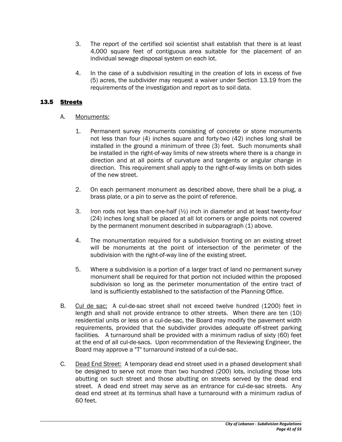- 3. The report of the certified soil scientist shall establish that there is at least 4,000 square feet of contiguous area suitable for the placement of an individual sewage disposal system on each lot.
- 4. In the case of a subdivision resulting in the creation of lots in excess of five (5) acres, the subdivider may request a waiver under Section 13.19 from the requirements of the investigation and report as to soil data.

## 13.5 Streets

- A. Monuments:
	- 1. Permanent survey monuments consisting of concrete or stone monuments not less than four (4) inches square and forty-two (42) inches long shall be installed in the ground a minimum of three (3) feet. Such monuments shall be installed in the right-of-way limits of new streets where there is a change in direction and at all points of curvature and tangents or angular change in direction. This requirement shall apply to the right-of-way limits on both sides of the new street.
	- 2. On each permanent monument as described above, there shall be a plug, a brass plate, or a pin to serve as the point of reference.
	- 3. Iron rods not less than one-half (½) inch in diameter and at least twenty-four (24) inches long shall be placed at all lot corners or angle points not covered by the permanent monument described in subparagraph (1) above.
	- 4. The monumentation required for a subdivision fronting on an existing street will be monuments at the point of intersection of the perimeter of the subdivision with the right-of-way line of the existing street.
	- 5. Where a subdivision is a portion of a larger tract of land no permanent survey monument shall be required for that portion not included within the proposed subdivision so long as the perimeter monumentation of the entire tract of land is sufficiently established to the satisfaction of the Planning Office.
- B. Cul de sac: A cul-de-sac street shall not exceed twelve hundred (1200) feet in length and shall not provide entrance to other streets. When there are ten (10) residential units or less on a cul-de-sac, the Board may modify the pavement width requirements, provided that the subdivider provides adequate off-street parking facilities. A turnaround shall be provided with a minimum radius of sixty (60) feet at the end of all cul-de-sacs. Upon recommendation of the Reviewing Engineer, the Board may approve a "T" turnaround instead of a cul-de-sac.
- C. Dead End Street: A temporary dead end street used in a phased development shall be designed to serve not more than two hundred (200) lots, including those lots abutting on such street and those abutting on streets served by the dead end street. A dead end street may serve as an entrance for cul-de-sac streets. Any dead end street at its terminus shall have a turnaround with a minimum radius of 60 feet.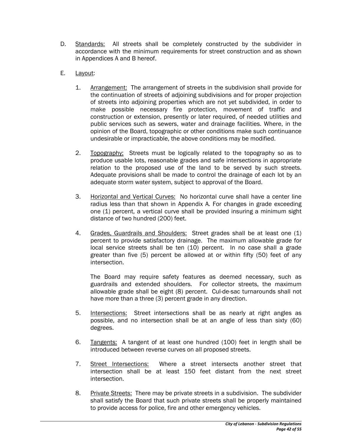- D. Standards: All streets shall be completely constructed by the subdivider in accordance with the minimum requirements for street construction and as shown in Appendices A and B hereof.
- E. Layout:
	- 1. Arrangement: The arrangement of streets in the subdivision shall provide for the continuation of streets of adjoining subdivisions and for proper projection of streets into adjoining properties which are not yet subdivided, in order to make possible necessary fire protection, movement of traffic and construction or extension, presently or later required, of needed utilities and public services such as sewers, water and drainage facilities. Where, in the opinion of the Board, topographic or other conditions make such continuance undesirable or impracticable, the above conditions may be modified.
	- 2. Topography: Streets must be logically related to the topography so as to produce usable lots, reasonable grades and safe intersections in appropriate relation to the proposed use of the land to be served by such streets. Adequate provisions shall be made to control the drainage of each lot by an adequate storm water system, subject to approval of the Board.
	- 3. Horizontal and Vertical Curves: No horizontal curve shall have a center line radius less than that shown in Appendix A. For changes in grade exceeding one (1) percent, a vertical curve shall be provided insuring a minimum sight distance of two hundred (200) feet.
	- 4. Grades, Guardrails and Shoulders: Street grades shall be at least one (1) percent to provide satisfactory drainage. The maximum allowable grade for local service streets shall be ten (10) percent. In no case shall a grade greater than five (5) percent be allowed at or within fifty (50) feet of any intersection.

The Board may require safety features as deemed necessary, such as guardrails and extended shoulders. For collector streets, the maximum allowable grade shall be eight (8) percent. Cul-de-sac turnarounds shall not have more than a three (3) percent grade in any direction.

- 5. Intersections: Street intersections shall be as nearly at right angles as possible, and no intersection shall be at an angle of less than sixty (60) degrees.
- 6. Tangents: A tangent of at least one hundred (100) feet in length shall be introduced between reverse curves on all proposed streets.
- 7. Street Intersections: Where a street intersects another street that intersection shall be at least 150 feet distant from the next street intersection.
- 8. Private Streets: There may be private streets in a subdivision. The subdivider shall satisfy the Board that such private streets shall be properly maintained to provide access for police, fire and other emergency vehicles.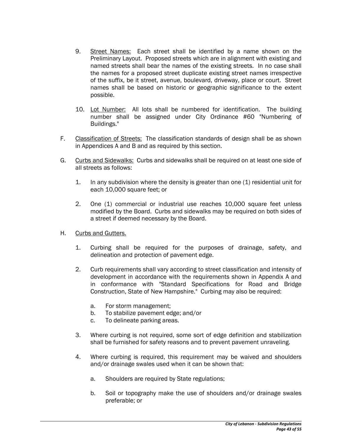- 9. Street Names: Each street shall be identified by a name shown on the Preliminary Layout. Proposed streets which are in alignment with existing and named streets shall bear the names of the existing streets. In no case shall the names for a proposed street duplicate existing street names irrespective of the suffix, be it street, avenue, boulevard, driveway, place or court. Street names shall be based on historic or geographic significance to the extent possible.
- 10. Lot Number: All lots shall be numbered for identification. The building number shall be assigned under City Ordinance #60 "Numbering of Buildings."
- F. Classification of Streets: The classification standards of design shall be as shown in Appendices A and B and as required by this section.
- G. Curbs and Sidewalks: Curbs and sidewalks shall be required on at least one side of all streets as follows:
	- 1. In any subdivision where the density is greater than one (1) residential unit for each 10,000 square feet; or
	- 2. One (1) commercial or industrial use reaches 10,000 square feet unless modified by the Board. Curbs and sidewalks may be required on both sides of a street if deemed necessary by the Board.
- H. Curbs and Gutters.
	- 1. Curbing shall be required for the purposes of drainage, safety, and delineation and protection of pavement edge.
	- 2. Curb requirements shall vary according to street classification and intensity of development in accordance with the requirements shown in Appendix A and in conformance with "Standard Specifications for Road and Bridge Construction, State of New Hampshire." Curbing may also be required:
		- a. For storm management;
		- b. To stabilize pavement edge; and/or
		- c. To delineate parking areas.
	- 3. Where curbing is not required, some sort of edge definition and stabilization shall be furnished for safety reasons and to prevent pavement unraveling.
	- 4. Where curbing is required, this requirement may be waived and shoulders and/or drainage swales used when it can be shown that:
		- a. Shoulders are required by State regulations;
		- b. Soil or topography make the use of shoulders and/or drainage swales preferable; or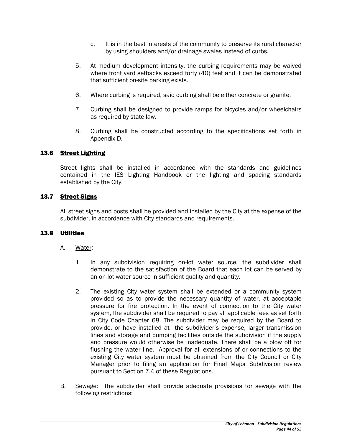- c. It is in the best interests of the community to preserve its rural character by using shoulders and/or drainage swales instead of curbs.
- 5. At medium development intensity, the curbing requirements may be waived where front yard setbacks exceed forty (40) feet and it can be demonstrated that sufficient on-site parking exists.
- 6. Where curbing is required, said curbing shall be either concrete or granite.
- 7. Curbing shall be designed to provide ramps for bicycles and/or wheelchairs as required by state law.
- 8. Curbing shall be constructed according to the specifications set forth in Appendix D.

## 13.6 Street Lighting

Street lights shall be installed in accordance with the standards and guidelines contained in the IES Lighting Handbook or the lighting and spacing standards established by the City.

## 13.7 Street Signs

All street signs and posts shall be provided and installed by the City at the expense of the subdivider, in accordance with City standards and requirements.

#### 13.8 Utilities

- A. Water:
	- 1. In any subdivision requiring on-lot water source, the subdivider shall demonstrate to the satisfaction of the Board that each lot can be served by an on-lot water source in sufficient quality and quantity.
	- 2. The existing City water system shall be extended or a community system provided so as to provide the necessary quantity of water, at acceptable pressure for fire protection. In the event of connection to the City water system, the subdivider shall be required to pay all applicable fees as set forth in City Code Chapter 68. The subdivider may be required by the Board to provide, or have installed at the subdivider's expense, larger transmission lines and storage and pumping facilities outside the subdivision if the supply and pressure would otherwise be inadequate. There shall be a blow off for flushing the water line. Approval for all extensions of or connections to the existing City water system must be obtained from the City Council or City Manager prior to filing an application for Final Major Subdivision review pursuant to Section 7.4 of these Regulations.
- B. Sewage: The subdivider shall provide adequate provisions for sewage with the following restrictions: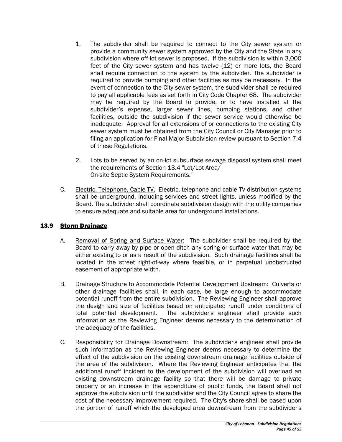- 1. The subdivider shall be required to connect to the City sewer system or provide a community sewer system approved by the City and the State in any subdivision where off-lot sewer is proposed. If the subdivision is within 3,000 feet of the City sewer system and has twelve (12) or more lots, the Board shall require connection to the system by the subdivider. The subdivider is required to provide pumping and other facilities as may be necessary. In the event of connection to the City sewer system, the subdivider shall be required to pay all applicable fees as set forth in City Code Chapter 68. The subdivider may be required by the Board to provide, or to have installed at the subdivider's expense, larger sewer lines, pumping stations, and other facilities, outside the subdivision if the sewer service would otherwise be inadequate. Approval for all extensions of or connections to the existing City sewer system must be obtained from the City Council or City Manager prior to filing an application for Final Major Subdivision review pursuant to Section 7.4 of these Regulations.
- 2. Lots to be served by an on-lot subsurface sewage disposal system shall meet the requirements of Section 13.4 "Lot/Lot Area/ On-site Septic System Requirements."
- C. Electric, Telephone, Cable TV. Electric, telephone and cable TV distribution systems shall be underground, including services and street lights, unless modified by the Board. The subdivider shall coordinate subdivision design with the utility companies to ensure adequate and suitable area for underground installations.

# 13.9 Storm Drainage

- A. Removal of Spring and Surface Water: The subdivider shall be required by the Board to carry away by pipe or open ditch any spring or surface water that may be either existing to or as a result of the subdivision. Such drainage facilities shall be located in the street right-of-way where feasible, or in perpetual unobstructed easement of appropriate width.
- B. Drainage Structure to Accommodate Potential Development Upstream: Culverts or other drainage facilities shall, in each case, be large enough to accommodate potential runoff from the entire subdivision. The Reviewing Engineer shall approve the design and size of facilities based on anticipated runoff under conditions of total potential development. The subdivider's engineer shall provide such information as the Reviewing Engineer deems necessary to the determination of the adequacy of the facilities.
- C. Responsibility for Drainage Downstream: The subdivider's engineer shall provide such information as the Reviewing Engineer deems necessary to determine the effect of the subdivision on the existing downstream drainage facilities outside of the area of the subdivision. Where the Reviewing Engineer anticipates that the additional runoff incident to the development of the subdivision will overload an existing downstream drainage facility so that there will be damage to private property or an increase in the expenditure of public funds, the Board shall not approve the subdivision until the subdivider and the City Council agree to share the cost of the necessary improvement required. The City's share shall be based upon the portion of runoff which the developed area downstream from the subdivider's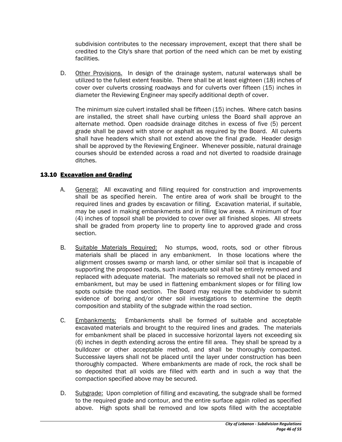subdivision contributes to the necessary improvement, except that there shall be credited to the City's share that portion of the need which can be met by existing facilities.

D. Other Provisions. In design of the drainage system, natural waterways shall be utilized to the fullest extent feasible. There shall be at least eighteen (18) inches of cover over culverts crossing roadways and for culverts over fifteen (15) inches in diameter the Reviewing Engineer may specify additional depth of cover.

The minimum size culvert installed shall be fifteen (15) inches. Where catch basins are installed, the street shall have curbing unless the Board shall approve an alternate method. Open roadside drainage ditches in excess of five (5) percent grade shall be paved with stone or asphalt as required by the Board. All culverts shall have headers which shall not extend above the final grade. Header design shall be approved by the Reviewing Engineer. Whenever possible, natural drainage courses should be extended across a road and not diverted to roadside drainage ditches.

# 13.10 Excavation and Grading

- A. General: All excavating and filling required for construction and improvements shall be as specified herein. The entire area of work shall be brought to the required lines and grades by excavation or filling. Excavation material, if suitable, may be used in making embankments and in filling low areas. A minimum of four (4) inches of topsoil shall be provided to cover over all finished slopes. All streets shall be graded from property line to property line to approved grade and cross section.
- B. Suitable Materials Required: No stumps, wood, roots, sod or other fibrous materials shall be placed in any embankment. In those locations where the alignment crosses swamp or marsh land, or other similar soil that is incapable of supporting the proposed roads, such inadequate soil shall be entirely removed and replaced with adequate material. The materials so removed shall not be placed in embankment, but may be used in flattening embankment slopes or for filling low spots outside the road section. The Board may require the subdivider to submit evidence of boring and/or other soil investigations to determine the depth composition and stability of the subgrade within the road section.
- C. Embankments: Embankments shall be formed of suitable and acceptable excavated materials and brought to the required lines and grades. The materials for embankment shall be placed in successive horizontal layers not exceeding six (6) inches in depth extending across the entire fill area. They shall be spread by a bulldozer or other acceptable method, and shall be thoroughly compacted. Successive layers shall not be placed until the layer under construction has been thoroughly compacted. Where embankments are made of rock, the rock shall be so deposited that all voids are filled with earth and in such a way that the compaction specified above may be secured.
- D. Subgrade: Upon completion of filling and excavating, the subgrade shall be formed to the required grade and contour, and the entire surface again rolled as specified above. High spots shall be removed and low spots filled with the acceptable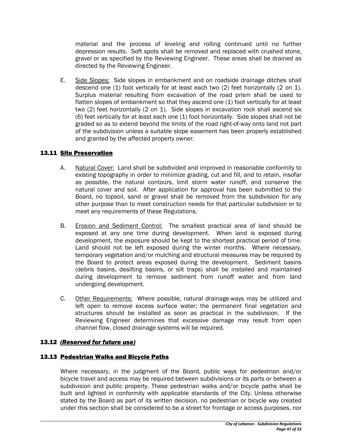material and the process of leveling and rolling continued until no further depression results. Soft spots shall be removed and replaced with crushed stone, gravel or as specified by the Reviewing Engineer. These areas shall be drained as directed by the Reviewing Engineer.

E. Side Slopes: Side slopes in embankment and on roadside drainage ditches shall descend one (1) foot vertically for at least each two (2) feet horizontally (2 on 1). Surplus material resulting from excavation of the road prism shall be used to flatten slopes of embankment so that they ascend one (1) foot vertically for at least two (2) feet horizontally (2 on 1). Side slopes in excavation rock shall ascend six (6) feet vertically for at least each one (1) foot horizontally. Side slopes shall not be graded so as to extend beyond the limits of the road right-of-way onto land not part of the subdivision unless a suitable slope easement has been properly established and granted by the affected property owner.

# 13.11 Site Preservation

- A. Natural Cover: Land shall be subdivided and improved in reasonable conformity to existing topography in order to minimize grading, cut and fill, and to retain, insofar as possible, the natural contours, limit storm water runoff, and conserve the natural cover and soil. After application for approval has been submitted to the Board, no topsoil, sand or gravel shall be removed from the subdivision for any other purpose than to meet construction needs for that particular subdivision or to meet any requirements of these Regulations.
- B. Erosion and Sediment Control: The smallest practical area of land should be exposed at any one time during development. When land is exposed during development, the exposure should be kept to the shortest practical period of time. Land should not be left exposed during the winter months. Where necessary, temporary vegetation and/or mulching and structural measures may be required by the Board to protect areas exposed during the development. Sediment basins (debris basins, desilting basins, or silt traps) shall be installed and maintained during development to remove sediment from runoff water and from land undergoing development.
- C. Other Requirements: Where possible, natural drainage-ways may be utilized and left open to remove excess surface water; the permanent final vegetation and structures should be installed as soon as practical in the subdivision. If the Reviewing Engineer determines that excessive damage may result from open channel flow, closed drainage systems will be required.

# 13.12 *(Reserved for future use)*

# 13.13 Pedestrian Walks and Bicycle Paths

Where necessary, in the judgment of the Board, public ways for pedestrian and/or bicycle travel and access may be required between subdivisions or its parts or between a subdivision and public property. These pedestrian walks and/or bicycle paths shall be built and lighted in conformity with applicable standards of the City. Unless otherwise stated by the Board as part of its written decision, no pedestrian or bicycle way created under this section shall be considered to be a street for frontage or access purposes, nor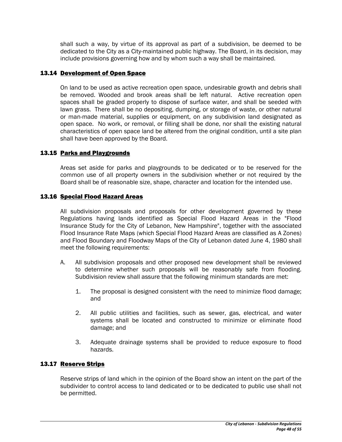shall such a way, by virtue of its approval as part of a subdivision, be deemed to be dedicated to the City as a City-maintained public highway. The Board, in its decision, may include provisions governing how and by whom such a way shall be maintained.

#### 13.14 Development of Open Space

On land to be used as active recreation open space, undesirable growth and debris shall be removed. Wooded and brook areas shall be left natural. Active recreation open spaces shall be graded properly to dispose of surface water, and shall be seeded with lawn grass. There shall be no depositing, dumping, or storage of waste, or other natural or man-made material, supplies or equipment, on any subdivision land designated as open space. No work, or removal, or filling shall be done, nor shall the existing natural characteristics of open space land be altered from the original condition, until a site plan shall have been approved by the Board.

## 13.15 Parks and Playgrounds

Areas set aside for parks and playgrounds to be dedicated or to be reserved for the common use of all property owners in the subdivision whether or not required by the Board shall be of reasonable size, shape, character and location for the intended use.

#### 13.16 Special Flood Hazard Areas

All subdivision proposals and proposals for other development governed by these Regulations having lands identified as Special Flood Hazard Areas in the "Flood Insurance Study for the City of Lebanon, New Hampshire", together with the associated Flood Insurance Rate Maps (which Special Flood Hazard Areas are classified as A Zones) and Flood Boundary and Floodway Maps of the City of Lebanon dated June 4, 1980 shall meet the following requirements:

- A. All subdivision proposals and other proposed new development shall be reviewed to determine whether such proposals will be reasonably safe from flooding. Subdivision review shall assure that the following minimum standards are met:
	- 1. The proposal is designed consistent with the need to minimize flood damage; and
	- 2. All public utilities and facilities, such as sewer, gas, electrical, and water systems shall be located and constructed to minimize or eliminate flood damage; and
	- 3. Adequate drainage systems shall be provided to reduce exposure to flood hazards.

#### 13.17 Reserve Strips

Reserve strips of land which in the opinion of the Board show an intent on the part of the subdivider to control access to land dedicated or to be dedicated to public use shall not be permitted.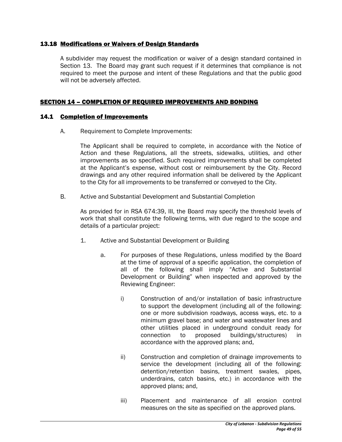#### 13.18 Modifications or Waivers of Design Standards

A subdivider may request the modification or waiver of a design standard contained in Section 13. The Board may grant such request if it determines that compliance is not required to meet the purpose and intent of these Regulations and that the public good will not be adversely affected.

#### SECTION 14 – COMPLETION OF REQUIRED IMPROVEMENTS AND BONDING

#### 14.1 Completion of Improvements

A. Requirement to Complete Improvements:

The Applicant shall be required to complete, in accordance with the Notice of Action and these Regulations, all the streets, sidewalks, utilities, and other improvements as so specified. Such required improvements shall be completed at the Applicant's expense, without cost or reimbursement by the City. Record drawings and any other required information shall be delivered by the Applicant to the City for all improvements to be transferred or conveyed to the City.

B. Active and Substantial Development and Substantial Completion

As provided for in RSA 674:39, III, the Board may specify the threshold levels of work that shall constitute the following terms, with due regard to the scope and details of a particular project:

- 1. Active and Substantial Development or Building
	- a. For purposes of these Regulations, unless modified by the Board at the time of approval of a specific application, the completion of all of the following shall imply "Active and Substantial Development or Building" when inspected and approved by the Reviewing Engineer:
		- i) Construction of and/or installation of basic infrastructure to support the development (including all of the following: one or more subdivision roadways, access ways, etc. to a minimum gravel base; and water and wastewater lines and other utilities placed in underground conduit ready for connection to proposed buildings/structures) in accordance with the approved plans; and,
		- ii) Construction and completion of drainage improvements to service the development (including all of the following: detention/retention basins, treatment swales, pipes, underdrains, catch basins, etc.) in accordance with the approved plans; and,
		- iii) Placement and maintenance of all erosion control measures on the site as specified on the approved plans.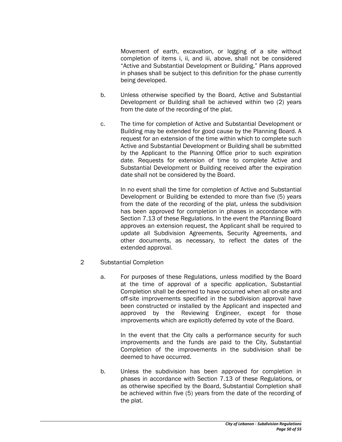Movement of earth, excavation, or logging of a site without completion of items i, ii, and iii, above, shall not be considered "Active and Substantial Development or Building." Plans approved in phases shall be subject to this definition for the phase currently being developed.

- b. Unless otherwise specified by the Board, Active and Substantial Development or Building shall be achieved within two (2) years from the date of the recording of the plat.
- c. The time for completion of Active and Substantial Development or Building may be extended for good cause by the Planning Board. A request for an extension of the time within which to complete such Active and Substantial Development or Building shall be submitted by the Applicant to the Planning Office prior to such expiration date. Requests for extension of time to complete Active and Substantial Development or Building received after the expiration date shall not be considered by the Board.

In no event shall the time for completion of Active and Substantial Development or Building be extended to more than five (5) years from the date of the recording of the plat, unless the subdivision has been approved for completion in phases in accordance with Section 7.13 of these Regulations. In the event the Planning Board approves an extension request, the Applicant shall be required to update all Subdivision Agreements, Security Agreements, and other documents, as necessary, to reflect the dates of the extended approval.

- 2 Substantial Completion
	- a. For purposes of these Regulations, unless modified by the Board at the time of approval of a specific application, Substantial Completion shall be deemed to have occurred when all on-site and off-site improvements specified in the subdivision approval have been constructed or installed by the Applicant and inspected and approved by the Reviewing Engineer, except for those improvements which are explicitly deferred by vote of the Board.

In the event that the City calls a performance security for such improvements and the funds are paid to the City, Substantial Completion of the improvements in the subdivision shall be deemed to have occurred.

b. Unless the subdivision has been approved for completion in phases in accordance with Section 7.13 of these Regulations, or as otherwise specified by the Board, Substantial Completion shall be achieved within five (5) years from the date of the recording of the plat.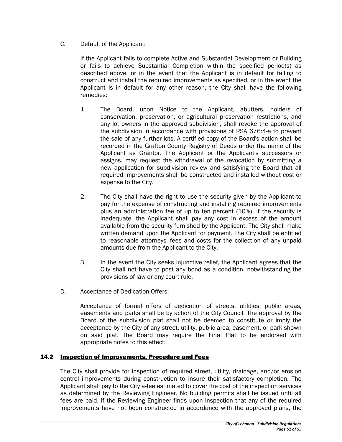C. Default of the Applicant:

If the Applicant fails to complete Active and Substantial Development or Building or fails to achieve Substantial Completion within the specified period(s) as described above, or in the event that the Applicant is in default for failing to construct and install the required improvements as specified, or in the event the Applicant is in default for any other reason, the City shall have the following remedies:

- 1. The Board, upon Notice to the Applicant, abutters, holders of conservation, preservation, or agricultural preservation restrictions, and any lot owners in the approved subdivision, shall revoke the approval of the subdivision in accordance with provisions of RSA 676:4-a to prevent the sale of any further lots. A certified copy of the Board's action shall be recorded in the Grafton County Registry of Deeds under the name of the Applicant as Grantor. The Applicant or the Applicant's successors or assigns, may request the withdrawal of the revocation by submitting a new application for subdivision review and satisfying the Board that all required improvements shall be constructed and installed without cost or expense to the City.
- 2. The City shall have the right to use the security given by the Applicant to pay for the expense of constructing and installing required improvements plus an administration fee of up to ten percent (10%). If the security is inadequate, the Applicant shall pay any cost in excess of the amount available from the security furnished by the Applicant. The City shall make written demand upon the Applicant for payment. The City shall be entitled to reasonable attorneys' fees and costs for the collection of any unpaid amounts due from the Applicant to the City.
- 3. In the event the City seeks injunctive relief, the Applicant agrees that the City shall not have to post any bond as a condition, notwithstanding the provisions of law or any court rule.
- D. Acceptance of Dedication Offers:

Acceptance of formal offers of dedication of streets, utilities, public areas, easements and parks shall be by action of the City Council. The approval by the Board of the subdivision plat shall not be deemed to constitute or imply the acceptance by the City of any street, utility, public area, easement, or park shown on said plat. The Board may require the Final Plat to be endorsed with appropriate notes to this effect.

# 14.2 Inspection of Improvements, Procedure and Fees

The City shall provide for inspection of required street, utility, drainage, and/or erosion control improvements during construction to insure their satisfactory completion. The Applicant shall pay to the City a fee estimated to cover the cost of the inspection services as determined by the Reviewing Engineer. No building permits shall be issued until all fees are paid. If the Reviewing Engineer finds upon inspection that any of the required improvements have not been constructed in accordance with the approved plans, the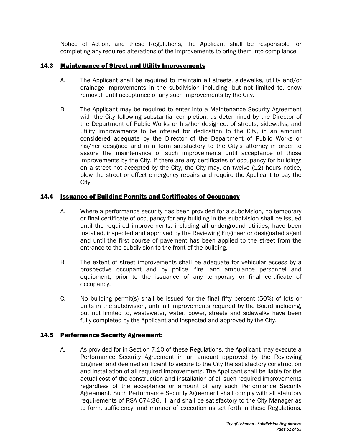Notice of Action, and these Regulations, the Applicant shall be responsible for completing any required alterations of the improvements to bring them into compliance.

# 14.3 Maintenance of Street and Utility Improvements

- A. The Applicant shall be required to maintain all streets, sidewalks, utility and/or drainage improvements in the subdivision including, but not limited to, snow removal, until acceptance of any such improvements by the City.
- B. The Applicant may be required to enter into a Maintenance Security Agreement with the City following substantial completion, as determined by the Director of the Department of Public Works or his/her designee, of streets, sidewalks, and utility improvements to be offered for dedication to the City, in an amount considered adequate by the Director of the Department of Public Works or his/her designee and in a form satisfactory to the City's attorney in order to assure the maintenance of such improvements until acceptance of those improvements by the City. If there are any certificates of occupancy for buildings on a street not accepted by the City, the City may, on twelve (12) hours notice, plow the street or effect emergency repairs and require the Applicant to pay the City.

# 14.4 Issuance of Building Permits and Certificates of Occupancy

- A. Where a performance security has been provided for a subdivision, no temporary or final certificate of occupancy for any building in the subdivision shall be issued until the required improvements, including all underground utilities, have been installed, inspected and approved by the Reviewing Engineer or designated agent and until the first course of pavement has been applied to the street from the entrance to the subdivision to the front of the building.
- B. The extent of street improvements shall be adequate for vehicular access by a prospective occupant and by police, fire, and ambulance personnel and equipment, prior to the issuance of any temporary or final certificate of occupancy.
- C. No building permit(s) shall be issued for the final fifty percent (50%) of lots or units in the subdivision, until all improvements required by the Board including, but not limited to, wastewater, water, power, streets and sidewalks have been fully completed by the Applicant and inspected and approved by the City.

# 14.5 Performance Security Agreement:

A. As provided for in Section 7.10 of these Regulations, the Applicant may execute a Performance Security Agreement in an amount approved by the Reviewing Engineer and deemed sufficient to secure to the City the satisfactory construction and installation of all required improvements. The Applicant shall be liable for the actual cost of the construction and installation of all such required improvements regardless of the acceptance or amount of any such Performance Security Agreement. Such Performance Security Agreement shall comply with all statutory requirements of RSA 674:36, III and shall be satisfactory to the City Manager as to form, sufficiency, and manner of execution as set forth in these Regulations.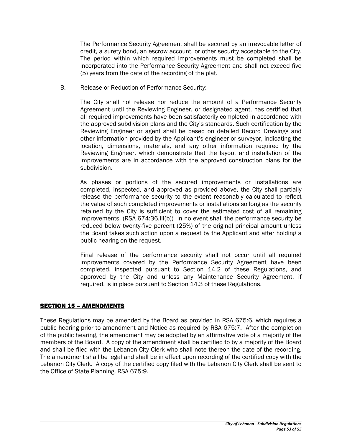The Performance Security Agreement shall be secured by an irrevocable letter of credit, a surety bond, an escrow account, or other security acceptable to the City. The period within which required improvements must be completed shall be incorporated into the Performance Security Agreement and shall not exceed five (5) years from the date of the recording of the plat.

B. Release or Reduction of Performance Security:

The City shall not release nor reduce the amount of a Performance Security Agreement until the Reviewing Engineer, or designated agent, has certified that all required improvements have been satisfactorily completed in accordance with the approved subdivision plans and the City's standards. Such certification by the Reviewing Engineer or agent shall be based on detailed Record Drawings and other information provided by the Applicant's engineer or surveyor, indicating the location, dimensions, materials, and any other information required by the Reviewing Engineer, which demonstrate that the layout and installation of the improvements are in accordance with the approved construction plans for the subdivision.

As phases or portions of the secured improvements or installations are completed, inspected, and approved as provided above, the City shall partially release the performance security to the extent reasonably calculated to reflect the value of such completed improvements or installations so long as the security retained by the City is sufficient to cover the estimated cost of all remaining improvements. (RSA 674:36,III(b)) In no event shall the performance security be reduced below twenty-five percent (25%) of the original principal amount unless the Board takes such action upon a request by the Applicant and after holding a public hearing on the request.

Final release of the performance security shall not occur until all required improvements covered by the Performance Security Agreement have been completed, inspected pursuant to Section 14.2 of these Regulations, and approved by the City and unless any Maintenance Security Agreement, if required, is in place pursuant to Section 14.3 of these Regulations.

#### SECTION 15 – AMENDMENTS

These Regulations may be amended by the Board as provided in RSA 675:6, which requires a public hearing prior to amendment and Notice as required by RSA 675:7. After the completion of the public hearing, the amendment may be adopted by an affirmative vote of a majority of the members of the Board. A copy of the amendment shall be certified to by a majority of the Board and shall be filed with the Lebanon City Clerk who shall note thereon the date of the recording. The amendment shall be legal and shall be in effect upon recording of the certified copy with the Lebanon City Clerk. A copy of the certified copy filed with the Lebanon City Clerk shall be sent to the Office of State Planning, RSA 675:9.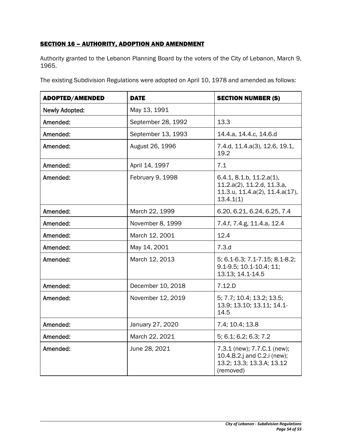# **SECTION 16 - AUTHORITY, ADOPTION AND AMENDMENT**

Authority granted to the Lebanon Planning Board by the voters of the City of Lebanon, March 9, 1965.

|  |  | The existing Subdivision Regulations were adopted on April 10, 1978 and amended as follows: |
|--|--|---------------------------------------------------------------------------------------------|
|  |  |                                                                                             |
|  |  |                                                                                             |
|  |  |                                                                                             |

| <b>ADOPTED/AMENDED</b> | <b>DATE</b>        | <b>SECTION NUMBER (S)</b>                                                                                      |
|------------------------|--------------------|----------------------------------------------------------------------------------------------------------------|
| <b>Newly Adopted:</b>  | May 13, 1991       |                                                                                                                |
| Amended:               | September 28, 1992 | 13.3                                                                                                           |
| Amended:               | September 13, 1993 | 14.4.a, 14.4.c, 14.6.d                                                                                         |
| Amended:               | August 26, 1996    | 7.4.d, 11.4.a(3), 12.6, 19.1,<br>19.2                                                                          |
| Amended:               | April 14, 1997     | 7.1                                                                                                            |
| Amended:               | February 9, 1998   | 6.4.1, 8.1.b, 11.2.a(1),<br>11.2.a(2), 11.2.d, 11.3.a,<br>$11.3.u$ , $11.4.a(2)$ , $11.4.a(17)$ ,<br>13.4.1(1) |
| Amended:               | March 22, 1999     | 6.20, 6.21, 6.24, 6.25, 7.4                                                                                    |
| Amended:               | November 8, 1999   | 7.4.f, 7.4.g, 11.4.a, 12.4                                                                                     |
| Amended:               | March 12, 2001     | 12.4                                                                                                           |
| Amended:               | May 14, 2001       | 7.3.d                                                                                                          |
| Amended:               | March 12, 2013     | 5; 6.1-6.3; 7.1-7.15; 8.1-8.2;<br>9.1-9.5; 10.1-10.4; 11;<br>13.13; 14.1-14.5                                  |
| Amended:               | December 10, 2018  | 7.12.D                                                                                                         |
| Amended:               | November 12, 2019  | 5; 7.7; 10.4; 13.2; 13.5;<br>13.9; 13.10; 13.11; 14.1-<br>14.5                                                 |
| Amended:               | January 27, 2020   | 7.4; 10.4; 13.8                                                                                                |
| Amended:               | March 22, 2021     | 5; 6.1; 6.2; 6.3; 7.2                                                                                          |
| Amended:               | June 28, 2021      | 7.3.1 (new); 7.7.C.1 (new);<br>10.4.B.2.j and C.2.i (new);<br>13.2; 13.3; 13.3.A; 13.12<br>(removed)           |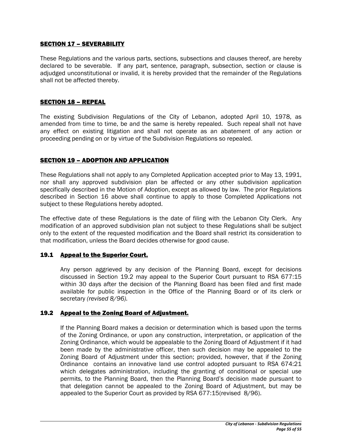#### SECTION 17 – SEVERABILITY

These Regulations and the various parts, sections, subsections and clauses thereof, are hereby declared to be severable. If any part, sentence, paragraph, subsection, section or clause is adjudged unconstitutional or invalid, it is hereby provided that the remainder of the Regulations shall not be affected thereby.

#### SECTION 18 – REPEAL

The existing Subdivision Regulations of the City of Lebanon, adopted April 10, 1978, as amended from time to time, be and the same is hereby repealed. Such repeal shall not have any effect on existing litigation and shall not operate as an abatement of any action or proceeding pending on or by virtue of the Subdivision Regulations so repealed.

#### SECTION 19 – ADOPTION AND APPLICATION

These Regulations shall not apply to any Completed Application accepted prior to May 13, 1991, nor shall any approved subdivision plan be affected or any other subdivision application specifically described in the Motion of Adoption, except as allowed by law. The prior Regulations described in Section 16 above shall continue to apply to those Completed Applications not subject to these Regulations hereby adopted.

The effective date of these Regulations is the date of filing with the Lebanon City Clerk. Any modification of an approved subdivision plan not subject to these Regulations shall be subject only to the extent of the requested modification and the Board shall restrict its consideration to that modification, unless the Board decides otherwise for good cause.

#### 19.1 Appeal to the Superior Court.

Any person aggrieved by any decision of the Planning Board, except for decisions discussed in Section 19.2 may appeal to the Superior Court pursuant to RSA 677:15 within 30 days after the decision of the Planning Board has been filed and first made available for public inspection in the Office of the Planning Board or of its clerk or secretary *(revised 8/96).*

#### 19.2 Appeal to the Zoning Board of Adjustment.

If the Planning Board makes a decision or determination which is based upon the terms of the Zoning Ordinance, or upon any construction, interpretation, or application of the Zoning Ordinance, which would be appealable to the Zoning Board of Adjustment if it had been made by the administrative officer, then such decision may be appealed to the Zoning Board of Adjustment under this section; provided, however, that if the Zoning Ordinance contains an innovative land use control adopted pursuant to RSA 674:21 which delegates administration, including the granting of conditional or special use permits, to the Planning Board, then the Planning Board's decision made pursuant to that delegation cannot be appealed to the Zoning Board of Adjustment, but may be appealed to the Superior Court as provided by RSA 677:15(revised 8/96).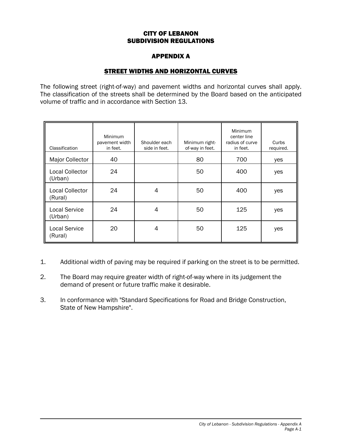#### CITY OF LEBANON SUBDIVISION REGULATIONS

## APPENDIX A

# STREET WIDTHS AND HORIZONTAL CURVES

The following street (right-of-way) and pavement widths and horizontal curves shall apply. The classification of the streets shall be determined by the Board based on the anticipated volume of traffic and in accordance with Section 13.

| Classification                    | <b>Minimum</b><br>pavement width<br>in feet. | Shoulder each<br>side in feet. | Minimum right-<br>of-way in feet. | Minimum<br>center line<br>radius of curve<br>in feet. | Curbs<br>required. |
|-----------------------------------|----------------------------------------------|--------------------------------|-----------------------------------|-------------------------------------------------------|--------------------|
| Major Collector                   | 40                                           |                                | 80                                | 700                                                   | yes                |
| <b>Local Collector</b><br>(Urban) | 24                                           |                                | 50                                | 400                                                   | yes                |
| <b>Local Collector</b><br>(Rural) | 24                                           | 4                              | 50                                | 400                                                   | yes                |
| <b>Local Service</b><br>(Urban)   | 24                                           | 4                              | 50                                | 125                                                   | yes                |
| <b>Local Service</b><br>(Rural)   | 20                                           | 4                              | 50                                | 125                                                   | yes                |

- 1. Additional width of paving may be required if parking on the street is to be permitted.
- 2. The Board may require greater width of right-of-way where in its judgement the demand of present or future traffic make it desirable.
- 3. In conformance with "Standard Specifications for Road and Bridge Construction, State of New Hampshire".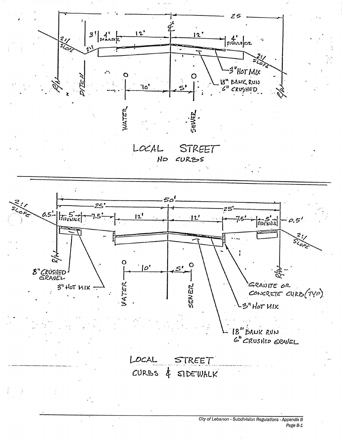

Page B-1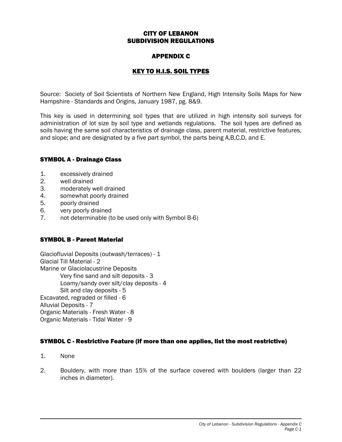#### CITY OF LEBANON SUBDIVISION REGULATIONS

## APPENDIX C

# KEY TO H.I.S. SOIL TYPES

Source: Society of Soil Scientists of Northern New England, High Intensity Soils Maps for New Hampshire - Standards and Origins, January 1987, pg. 8&9.

This key is used in determining soil types that are utilized in high intensity soil surveys for administration of lot size by soil type and wetlands regulations. The soil types are defined as soils having the same soil characteristics of drainage class, parent material, restrictive features, and slope; and are designated by a five part symbol, the parts being A,B,C,D, and E.

#### SYMBOL A - Drainage Class

- 1. excessively drained
- 2. well drained
- 3. moderately well drained
- 4. somewhat poorly drained<br>5. ooorly drained
- 5. poorly drained
- 6. very poorly drained
- 7. not determinable (to be used only with Symbol B-6)

#### SYMBOL B - Parent Material

Glaciofluvial Deposits (outwash/terraces) - 1 Glacial Till Material - 2 Marine or Glaciolacustrine Deposits Very fine sand and silt deposits - 3 Loamy/sandy over silt/clay deposits - 4 Silt and clay deposits - 5 Excavated, regraded or filled - 6 Alluvial Deposits - 7 Organic Materials - Fresh Water - 8 Organic Materials - Tidal Water - 9

#### SYMBOL C - Restrictive Feature (if more than one applies, list the most restrictive)

- 1. None
- 2. Bouldery, with more than 15% of the surface covered with boulders (larger than 22 inches in diameter).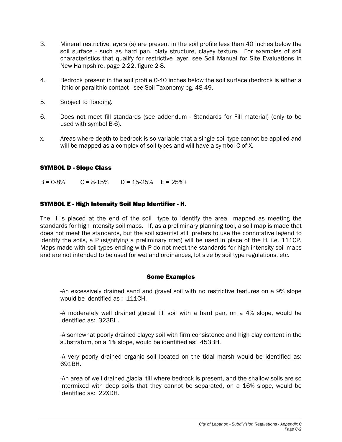- 3. Mineral restrictive layers (s) are present in the soil profile less than 40 inches below the soil surface - such as hard pan, platy structure, clayey texture. For examples of soil characteristics that qualify for restrictive layer, see Soil Manual for Site Evaluations in New Hampshire, page 2-22, figure 2-8.
- 4. Bedrock present in the soil profile 0-40 inches below the soil surface (bedrock is either a lithic or paralithic contact - see Soil Taxonomy pg. 48-49.
- 5. Subject to flooding.
- 6. Does not meet fill standards (see addendum Standards for Fill material) (only to be used with symbol B-6).
- x. Areas where depth to bedrock is so variable that a single soil type cannot be applied and will be mapped as a complex of soil types and will have a symbol C of X.

#### SYMBOL D - Slope Class

 $B = 0.8\%$   $C = 8.15\%$   $D = 15.25\%$   $E = 25\% +$ 

#### SYMBOL E - High Intensity Soil Map Identifier - H.

The H is placed at the end of the soil type to identify the area mapped as meeting the standards for high intensity soil maps. If, as a preliminary planning tool, a soil map is made that does not meet the standards, but the soil scientist still prefers to use the connotative legend to identify the soils, a P (signifying a preliminary map) will be used in place of the H, i.e. 111CP. Maps made with soil types ending with P do not meet the standards for high intensity soil maps and are not intended to be used for wetland ordinances, lot size by soil type regulations, etc.

#### Some Examples

-An excessively drained sand and gravel soil with no restrictive features on a 9% slope would be identified as : 111CH.

-A moderately well drained glacial till soil with a hard pan, on a 4% slope, would be identified as: 323BH.

-A somewhat poorly drained clayey soil with firm consistence and high clay content in the substratum, on a 1% slope, would be identified as: 453BH.

-A very poorly drained organic soil located on the tidal marsh would be identified as: 691BH.

-An area of well drained glacial till where bedrock is present, and the shallow soils are so intermixed with deep soils that they cannot be separated, on a 16% slope, would be identified as: 22XDH.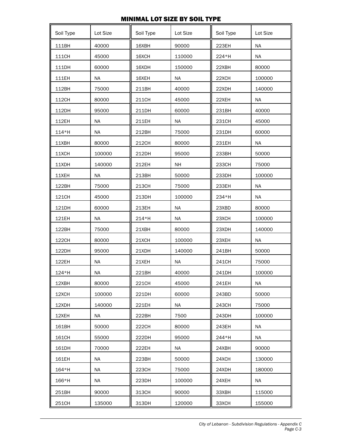# MINIMAL LOT SIZE BY SOIL TYPE

| Soil Type | Lot Size  | Soil Type | Lot Size  | Soil Type | Lot Size  |
|-----------|-----------|-----------|-----------|-----------|-----------|
| 111BH     | 40000     | 16XBH     | 90000     | 223EH     | <b>NA</b> |
| 111CH     | 45000     | 16XCH     | 110000    | 224*H     | <b>NA</b> |
| 111DH     | 60000     | 16XDH     | 150000    | 22XBH     | 80000     |
| 111EH     | <b>NA</b> | 16XEH     | <b>NA</b> | 22XCH     | 100000    |
| 112BH     | 75000     | 211BH     | 40000     | 22XDH     | 140000    |
| 112CH     | 80000     | 211CH     | 45000     | 22XEH     | <b>NA</b> |
| 112DH     | 95000     | 211DH     | 60000     | 231BH     | 40000     |
| 112EH     | <b>NA</b> | 211EH     | <b>NA</b> | 231CH     | 45000     |
| 114*H     | <b>NA</b> | 212BH     | 75000     | 231DH     | 60000     |
| 11XBH     | 80000     | 212CH     | 80000     | 231EH     | <b>NA</b> |
| 11XCH     | 100000    | 212DH     | 95000     | 233BH     | 50000     |
| 11XDH     | 140000    | 212EH     | <b>NH</b> | 233CH     | 75000     |
| 11XEH     | <b>NA</b> | 213BH     | 50000     | 233DH     | 100000    |
| 122BH     | 75000     | 213CH     | 75000     | 233EH     | <b>NA</b> |
| 121CH     | 45000     | 213DH     | 100000    | 234*H     | ΝA        |
| 121DH     | 60000     | 213EH     | <b>NA</b> | 23XBD     | 80000     |
| 121EH     | <b>NA</b> | 214*H     | <b>NA</b> | 23XCH     | 100000    |
| 122BH     | 75000     | 21XBH     | 80000     | 23XDH     | 140000    |
| 122CH     | 80000     | 21XCH     | 100000    | 23XEH     | <b>NA</b> |
| 122DH     | 95000     | 21XDH     | 140000    | 241BH     | 50000     |
| 122EH     | <b>NA</b> | 21XEH     | <b>NA</b> | 241CH     | 75000     |
| 124*H     | <b>NA</b> | 221BH     | 40000     | 241DH     | 100000    |
| 12XBH     | 80000     | 221CH     | 45000     | 241EH     | <b>NA</b> |
| 12XCH     | 100000    | 221DH     | 60000     | 243BD     | 50000     |
| 12XDH     | 140000    | 221EH     | <b>NA</b> | 243CH     | 75000     |
| 12XEH     | NA.       | 222BH     | 7500      | 243DH     | 100000    |
| 161BH     | 50000     | 222CH     | 80000     | 243EH     | ΝA        |
| 161CH     | 55000     | 222DH     | 95000     | 244*H     | NA        |
| 161DH     | 70000     | 222EH     | NA        | 24XBH     | 90000     |
| 161EH     | <b>NA</b> | 223BH     | 50000     | 24XCH     | 130000    |
| 164*H     | <b>NA</b> | 223CH     | 75000     | 24XDH     | 180000    |
| 166*H     | NA        | 223DH     | 100000    | 24XEH     | NA        |
| 251BH     | 90000     | 313CH     | 90000     | 33XBH     | 115000    |
| 251CH     | 135000    | 313DH     | 120000    | 33XCH     | 155000    |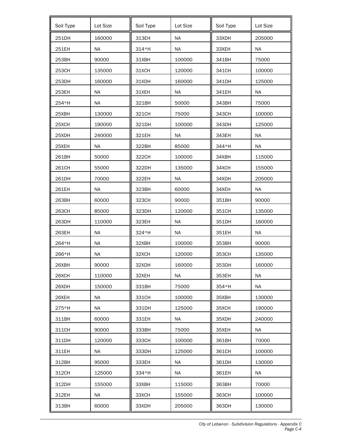| Soil Type | Lot Size  | Soil Type | Lot Size  | Soil Type | Lot Size  |
|-----------|-----------|-----------|-----------|-----------|-----------|
| 251DH     | 160000    | 313EH     | <b>NA</b> | 33XDH     | 205000    |
| 251EH     | <b>NA</b> | 314*H     | <b>NA</b> | 33XEH     | <b>NA</b> |
| 253BH     | 90000     | 31XBH     | 100000    | 341BH     | 75000     |
| 253CH     | 135000    | 31XCH     | 120000    | 341CH     | 100000    |
| 253DH     | 160000    | 31XDH     | 160000    | 341DH     | 125000    |
| 253EH     | <b>NA</b> | 31XEH     | <b>NA</b> | 341EH     | <b>NA</b> |
| 254*H     | <b>NA</b> | 321BH     | 50000     | 343BH     | 75000     |
| 25XBH     | 130000    | 321CH     | 75000     | 343CH     | 100000    |
| 25XCH     | 190000    | 321DH     | 100000    | 343DH     | 125000    |
| 25XDH     | 240000    | 321EH     | <b>NA</b> | 343EH     | <b>NA</b> |
| 25XEH     | <b>NA</b> | 322BH     | 85000     | 344*H     | <b>NA</b> |
| 261BH     | 50000     | 322CH     | 100000    | 34XBH     | 115000    |
| 261CH     | 55000     | 322DH     | 135000    | 34XCH     | 155000    |
| 261DH     | 70000     | 322EH     | <b>NA</b> | 34XDH     | 205000    |
| 261EH     | <b>NA</b> | 323BH     | 60000     | 34XEH     | <b>NA</b> |
| 263BH     | 60000     | 323CH     | 90000     | 351BH     | 90000     |
| 263CH     | 85000     | 323DH     | 120000    | 351CH     | 135000    |
| 263DH     | 110000    | 323EH     | <b>NA</b> | 351DH     | 160000    |
| 263EH     | <b>NA</b> | 324*H     | <b>NA</b> | 351EH     | <b>NA</b> |
| 264*H     | <b>NA</b> | 32XBH     | 100000    | 353BH     | 90000     |
| 266*H     | <b>NA</b> | 32XCH     | 120000    | 353CH     | 135000    |
| 26XBH     | 90000     | 32XDH     | 160000    | 353DH     | 160000    |
| 26XCH     | 110000    | 32XEH     | <b>NA</b> | 353EH     | <b>NA</b> |
| 26XDH     | 150000    | 331BH     | 75000     | 354*H     | <b>NA</b> |
| 26XEH     | NA        | 331CH     | 100000    | 35XBH     | 130000    |
| 275*H     | <b>NA</b> | 331DH     | 125000    | 35XCH     | 190000    |
| 311BH     | 60000     | 331EH     | <b>NA</b> | 35XDH     | 240000    |
| 311CH     | 90000     | 333BH     | 75000     | 35XEH     | <b>NA</b> |
| 311DH     | 120000    | 333CH     | 100000    | 361BH     | 70000     |
| 311EH     | <b>NA</b> | 333DH     | 125000    | 361CH     | 100000    |
| 312BH     | 95000     | 333EH     | <b>NA</b> | 361DH     | 130000    |
| 312CH     | 125000    | 334*H     | <b>NA</b> | 361EH     | <b>NA</b> |
| 312DH     | 155000    | ЗЗХВН     | 115000    | 363BH     | 70000     |
| 312EH     | <b>NA</b> | 33XCH     | 155000    | 363CH     | 100000    |
| 313BH     | 60000     | 33XDH     | 205000    | 363DH     | 130000    |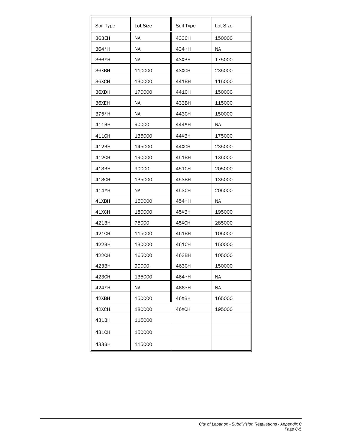| Soil Type | Lot Size  | Soil Type | Lot Size  |
|-----------|-----------|-----------|-----------|
| 363EH     | <b>NA</b> | 433CH     | 150000    |
| 364*H     | <b>NA</b> | 434*H     | <b>NA</b> |
| 366*H     | <b>NA</b> | 43XBH     | 175000    |
| 36XBH     | 110000    | 43XCH     | 235000    |
| 36XCH     | 130000    | 441BH     | 115000    |
| 36XDH     | 170000    | 441CH     | 150000    |
| 36XEH     | <b>NA</b> | 433BH     | 115000    |
| 375*H     | ΝA        | 443CH     | 150000    |
| 411BH     | 90000     | 444*H     | <b>NA</b> |
| 411CH     | 135000    | 44XBH     | 175000    |
| 412BH     | 145000    | 44XCH     | 235000    |
| 412CH     | 190000    | 451BH     | 135000    |
| 413BH     | 90000     | 451CH     | 205000    |
| 413CH     | 135000    | 453BH     | 135000    |
| 414*H     | <b>NA</b> | 453CH     | 205000    |
| 41XBH     | 150000    | 454*H     | <b>NA</b> |
| 41XCH     | 180000    | 45XBH     | 195000    |
| 421BH     | 75000     | 45XCH     | 285000    |
| 421CH     | 115000    | 461BH     | 105000    |
| 422BH     | 130000    | 461CH     | 150000    |
| 422CH     | 165000    | 463BH     | 105000    |
| 423BH     | 90000     | 463CH     | 150000    |
| 423CH     | 135000    | 464*H     | <b>NA</b> |
| 424*H     | NA.       | 466*H     | <b>NA</b> |
| 42XBH     | 150000    | 46XBH     | 165000    |
| 42XCH     | 180000    | 46XCH     | 195000    |
| 431BH     | 115000    |           |           |
| 431CH     | 150000    |           |           |
| 433BH     | 115000    |           |           |